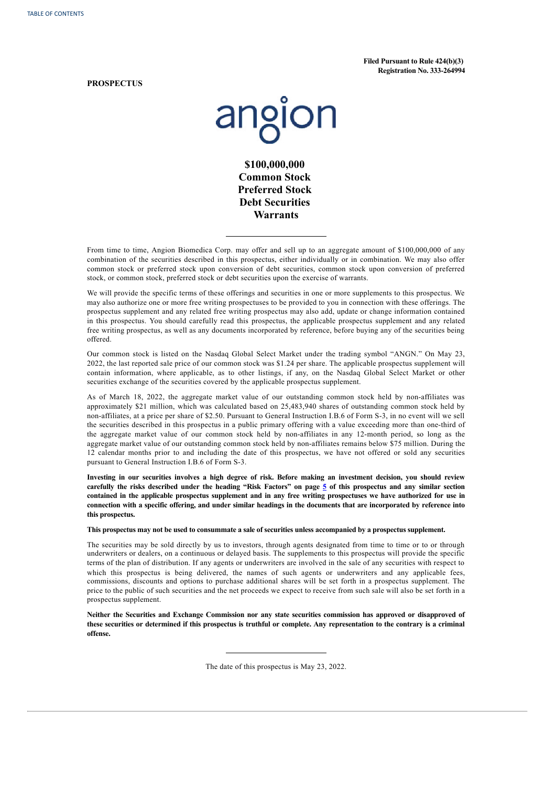**PROSPECTUS**

**Filed Pursuant to Rule 424(b)(3) Registration No. 333-264994**

# angion

**\$100,000,000 Common Stock Preferred Stock Debt Securities Warrants**

From time to time, Angion Biomedica Corp. may offer and sell up to an aggregate amount of \$100,000,000 of any combination of the securities described in this prospectus, either individually or in combination. We may also offer common stock or preferred stock upon conversion of debt securities, common stock upon conversion of preferred stock, or common stock, preferred stock or debt securities upon the exercise of warrants.

We will provide the specific terms of these offerings and securities in one or more supplements to this prospectus. We may also authorize one or more free writing prospectuses to be provided to you in connection with these offerings. The prospectus supplement and any related free writing prospectus may also add, update or change information contained in this prospectus. You should carefully read this prospectus, the applicable prospectus supplement and any related free writing prospectus, as well as any documents incorporated by reference, before buying any of the securities being offered.

Our common stock is listed on the Nasdaq Global Select Market under the trading symbol "ANGN." On May 23, 2022, the last reported sale price of our common stock was \$1.24 per share. The applicable prospectus supplement will contain information, where applicable, as to other listings, if any, on the Nasdaq Global Select Market or other securities exchange of the securities covered by the applicable prospectus supplement.

As of March 18, 2022, the aggregate market value of our outstanding common stock held by non-affiliates was approximately \$21 million, which was calculated based on 25,483,940 shares of outstanding common stock held by non-affiliates, at a price per share of \$2.50. Pursuant to General Instruction I.B.6 of Form S-3, in no event will we sell the securities described in this prospectus in a public primary offering with a value exceeding more than one-third of the aggregate market value of our common stock held by non-affiliates in any 12-month period, so long as the aggregate market value of our outstanding common stock held by non-affiliates remains below \$75 million. During the 12 calendar months prior to and including the date of this prospectus, we have not offered or sold any securities pursuant to General Instruction I.B.6 of Form S-3.

Investing in our securities involves a high degree of risk. Before making an investment decision, you should review carefully the risks described under the heading "Risk Factors" on page [5](#page-6-0) of this prospectus and any similar section contained in the applicable prospectus supplement and in any free writing prospectuses we have authorized for use in connection with a specific offering, and under similar headings in the documents that are incorporated by reference into **this prospectus.**

This prospectus may not be used to consummate a sale of securities unless accompanied by a prospectus supplement.

The securities may be sold directly by us to investors, through agents designated from time to time or to or through underwriters or dealers, on a continuous or delayed basis. The supplements to this prospectus will provide the specific terms of the plan of distribution. If any agents or underwriters are involved in the sale of any securities with respect to which this prospectus is being delivered, the names of such agents or underwriters and any applicable fees, commissions, discounts and options to purchase additional shares will be set forth in a prospectus supplement. The price to the public of such securities and the net proceeds we expect to receive from such sale will also be set forth in a prospectus supplement.

<span id="page-0-0"></span>Neither the Securities and Exchange Commission nor any state securities commission has approved or disapproved of these securities or determined if this prospectus is truthful or complete. Any representation to the contrary is a criminal **offense.**

The date of this prospectus is May 23, 2022.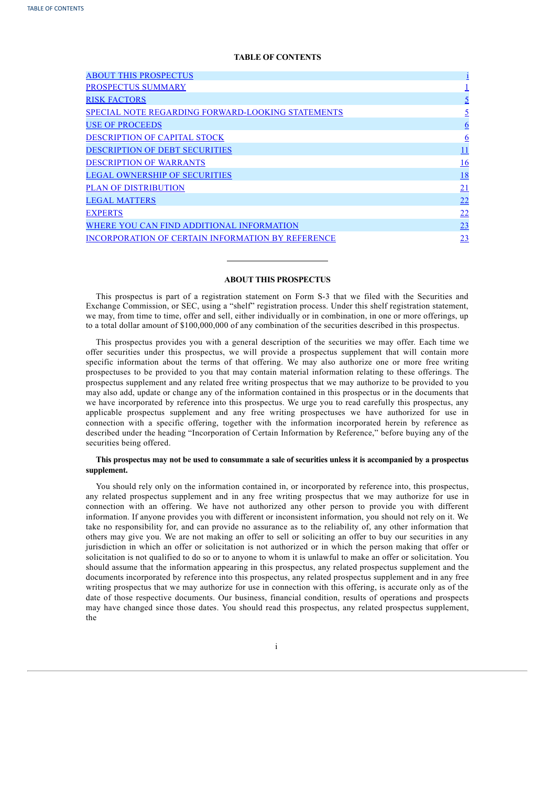# **TABLE OF CONTENTS**

| <b>ABOUT THIS PROSPECTUS</b>                             |                 |
|----------------------------------------------------------|-----------------|
| PROSPECTUS SUMMARY                                       |                 |
| <b>RISK FACTORS</b>                                      | <u>5</u>        |
| SPECIAL NOTE REGARDING FORWARD-LOOKING STATEMENTS        | <u>5</u>        |
| <b>USE OF PROCEEDS</b>                                   | $6\overline{6}$ |
| DESCRIPTION OF CAPITAL STOCK                             | $6\overline{6}$ |
| <b>DESCRIPTION OF DEBT SECURITIES</b>                    | $\overline{11}$ |
| <b>DESCRIPTION OF WARRANTS</b>                           | <u>16</u>       |
| <b>LEGAL OWNERSHIP OF SECURITIES</b>                     | <u>18</u>       |
| <b>PLAN OF DISTRIBUTION</b>                              | 21              |
| <b>LEGAL MATTERS</b>                                     | 22              |
| <b>EXPERTS</b>                                           | 22              |
| WHERE YOU CAN FIND ADDITIONAL INFORMATION                | 23              |
| <b>INCORPORATION OF CERTAIN INFORMATION BY REFERENCE</b> | <u>23</u>       |

# **ABOUT THIS PROSPECTUS**

This prospectus is part of a registration statement on Form S-3 that we filed with the Securities and Exchange Commission, or SEC, using a "shelf" registration process. Under this shelf registration statement, we may, from time to time, offer and sell, either individually or in combination, in one or more offerings, up to a total dollar amount of \$100,000,000 of any combination of the securities described in this prospectus.

This prospectus provides you with a general description of the securities we may offer. Each time we offer securities under this prospectus, we will provide a prospectus supplement that will contain more specific information about the terms of that offering. We may also authorize one or more free writing prospectuses to be provided to you that may contain material information relating to these offerings. The prospectus supplement and any related free writing prospectus that we may authorize to be provided to you may also add, update or change any of the information contained in this prospectus or in the documents that we have incorporated by reference into this prospectus. We urge you to read carefully this prospectus, any applicable prospectus supplement and any free writing prospectuses we have authorized for use in connection with a specific offering, together with the information incorporated herein by reference as described under the heading "Incorporation of Certain Information by Reference," before buying any of the securities being offered.

# This prospectus may not be used to consummate a sale of securities unless it is accompanied by a prospectus **supplement.**

You should rely only on the information contained in, or incorporated by reference into, this prospectus, any related prospectus supplement and in any free writing prospectus that we may authorize for use in connection with an offering. We have not authorized any other person to provide you with different information. If anyone provides you with different or inconsistent information, you should not rely on it. We take no responsibility for, and can provide no assurance as to the reliability of, any other information that others may give you. We are not making an offer to sell or soliciting an offer to buy our securities in any jurisdiction in which an offer or solicitation is not authorized or in which the person making that offer or solicitation is not qualified to do so or to anyone to whom it is unlawful to make an offer or solicitation. You should assume that the information appearing in this prospectus, any related prospectus supplement and the documents incorporated by reference into this prospectus, any related prospectus supplement and in any free writing prospectus that we may authorize for use in connection with this offering, is accurate only as of the date of those respective documents. Our business, financial condition, results of operations and prospects may have changed since those dates. You should read this prospectus, any related prospectus supplement, the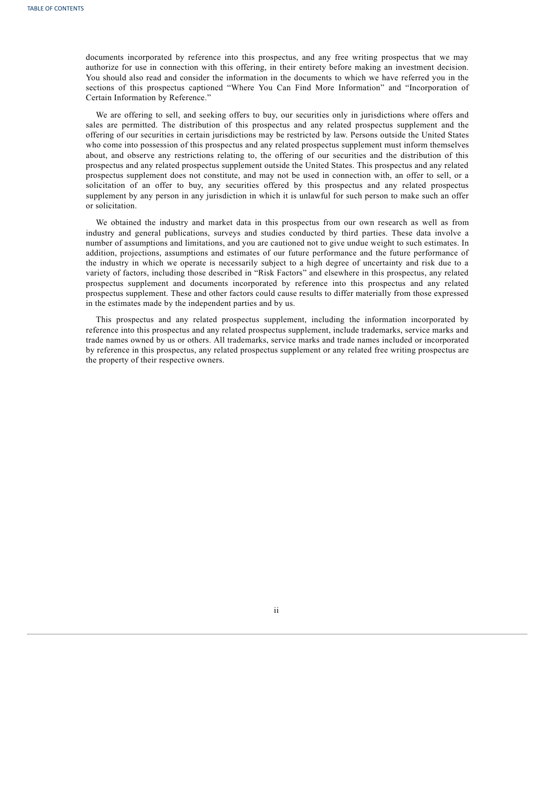documents incorporated by reference into this prospectus, and any free writing prospectus that we may authorize for use in connection with this offering, in their entirety before making an investment decision. You should also read and consider the information in the documents to which we have referred you in the sections of this prospectus captioned "Where You Can Find More Information" and "Incorporation of Certain Information by Reference."

We are offering to sell, and seeking offers to buy, our securities only in jurisdictions where offers and sales are permitted. The distribution of this prospectus and any related prospectus supplement and the offering of our securities in certain jurisdictions may be restricted by law. Persons outside the United States who come into possession of this prospectus and any related prospectus supplement must inform themselves about, and observe any restrictions relating to, the offering of our securities and the distribution of this prospectus and any related prospectus supplement outside the United States. This prospectus and any related prospectus supplement does not constitute, and may not be used in connection with, an offer to sell, or a solicitation of an offer to buy, any securities offered by this prospectus and any related prospectus supplement by any person in any jurisdiction in which it is unlawful for such person to make such an offer or solicitation.

We obtained the industry and market data in this prospectus from our own research as well as from industry and general publications, surveys and studies conducted by third parties. These data involve a number of assumptions and limitations, and you are cautioned not to give undue weight to such estimates. In addition, projections, assumptions and estimates of our future performance and the future performance of the industry in which we operate is necessarily subject to a high degree of uncertainty and risk due to a variety of factors, including those described in "Risk Factors" and elsewhere in this prospectus, any related prospectus supplement and documents incorporated by reference into this prospectus and any related prospectus supplement. These and other factors could cause results to differ materially from those expressed in the estimates made by the independent parties and by us.

This prospectus and any related prospectus supplement, including the information incorporated by reference into this prospectus and any related prospectus supplement, include trademarks, service marks and trade names owned by us or others. All trademarks, service marks and trade names included or incorporated by reference in this prospectus, any related prospectus supplement or any related free writing prospectus are the property of their respective owners.

<span id="page-2-0"></span>ii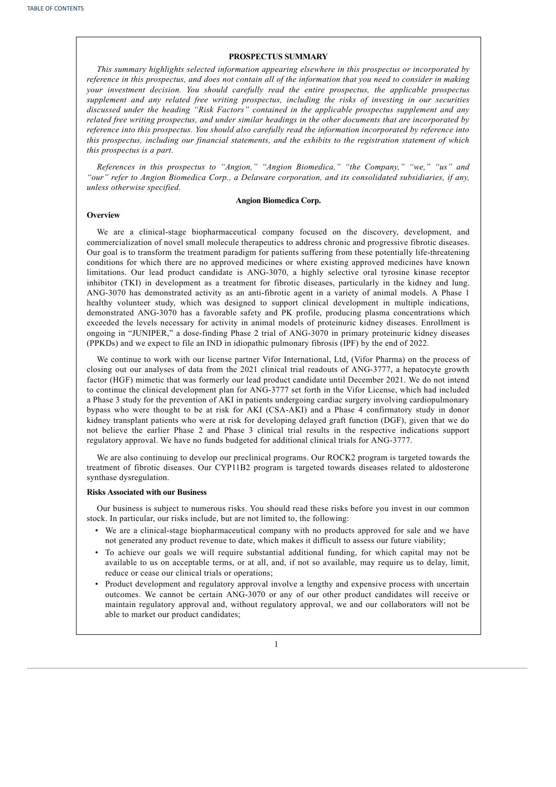# **PROSPECTUS SUMMARY**

*This summary highlights selected information appearing elsewhere in this prospectus or incorporated by* reference in this prospectus, and does not contain all of the information that you need to consider in making *your investment decision. You should carefully read the entire prospectus, the applicable prospectus supplement and any related free writing prospectus, including the risks of investing in our securities discussed under the heading "Risk Factors" contained in the applicable prospectus supplement and any related free writing prospectus, and under similar headings in the other documents that are incorporated by reference into this prospectus. You should also carefully read the information incorporated by reference into this prospectus, including our financial statements, and the exhibits to the registration statement of which this prospectus is a part.*

*References in this prospectus to "Angion," "Angion Biomedica," "the Company," "we," "us" and "our" refer to Angion Biomedica Corp., a Delaware corporation, and its consolidated subsidiaries, if any, unless otherwise specified.*

# **Angion Biomedica Corp.**

# **Overview**

We are a clinical-stage biopharmaceutical company focused on the discovery, development, and commercialization of novel small molecule therapeutics to address chronic and progressive fibrotic diseases. Our goal is to transform the treatment paradigm for patients suffering from these potentially life-threatening conditions for which there are no approved medicines or where existing approved medicines have known limitations. Our lead product candidate is ANG-3070, a highly selective oral tyrosine kinase receptor inhibitor (TKI) in development as a treatment for fibrotic diseases, particularly in the kidney and lung. ANG-3070 has demonstrated activity as an anti-fibrotic agent in a variety of animal models. A Phase 1 healthy volunteer study, which was designed to support clinical development in multiple indications, demonstrated ANG-3070 has a favorable safety and PK profile, producing plasma concentrations which exceeded the levels necessary for activity in animal models of proteinuric kidney diseases. Enrollment is ongoing in "JUNIPER," a dose-finding Phase 2 trial of ANG-3070 in primary proteinuric kidney diseases (PPKDs) and we expect to file an IND in idiopathic pulmonary fibrosis (IPF) by the end of 2022.

We continue to work with our license partner Vifor International, Ltd, (Vifor Pharma) on the process of closing out our analyses of data from the 2021 clinical trial readouts of ANG-3777, a hepatocyte growth factor (HGF) mimetic that was formerly our lead product candidate until December 2021. We do not intend to continue the clinical development plan for ANG-3777 set forth in the Vifor License, which had included a Phase 3 study for the prevention of AKI in patients undergoing cardiac surgery involving cardiopulmonary bypass who were thought to be at risk for AKI (CSA-AKI) and a Phase 4 confirmatory study in donor kidney transplant patients who were at risk for developing delayed graft function (DGF), given that we do not believe the earlier Phase 2 and Phase 3 clinical trial results in the respective indications support regulatory approval. We have no funds budgeted for additional clinical trials for ANG-3777.

We are also continuing to develop our preclinical programs. Our ROCK2 program is targeted towards the treatment of fibrotic diseases. Our CYP11B2 program is targeted towards diseases related to aldosterone synthase dysregulation.

# **Risks Associated with our Business**

Our business is subject to numerous risks. You should read these risks before you invest in our common stock. In particular, our risks include, but are not limited to, the following:

- We are a clinical-stage biopharmaceutical company with no products approved for sale and we have not generated any product revenue to date, which makes it difficult to assess our future viability;
- To achieve our goals we will require substantial additional funding, for which capital may not be available to us on acceptable terms, or at all, and, if not so available, may require us to delay, limit, reduce or cease our clinical trials or operations;
- Product development and regulatory approval involve a lengthy and expensive process with uncertain outcomes. We cannot be certain ANG-3070 or any of our other product candidates will receive or maintain regulatory approval and, without regulatory approval, we and our collaborators will not be able to market our product candidates;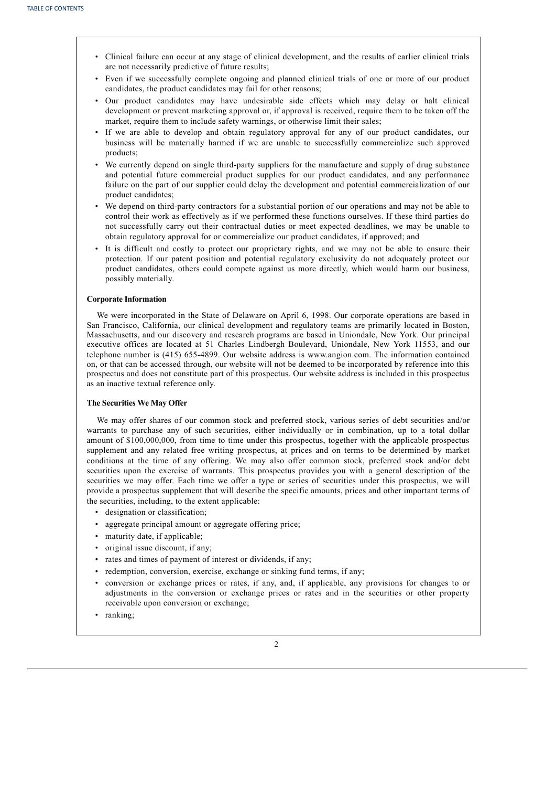- Clinical failure can occur at any stage of clinical development, and the results of earlier clinical trials are not necessarily predictive of future results;
- Even if we successfully complete ongoing and planned clinical trials of one or more of our product candidates, the product candidates may fail for other reasons;
- Our product candidates may have undesirable side effects which may delay or halt clinical development or prevent marketing approval or, if approval is received, require them to be taken off the market, require them to include safety warnings, or otherwise limit their sales;
- If we are able to develop and obtain regulatory approval for any of our product candidates, our business will be materially harmed if we are unable to successfully commercialize such approved products;
- We currently depend on single third-party suppliers for the manufacture and supply of drug substance and potential future commercial product supplies for our product candidates, and any performance failure on the part of our supplier could delay the development and potential commercialization of our product candidates;
- We depend on third-party contractors for a substantial portion of our operations and may not be able to control their work as effectively as if we performed these functions ourselves. If these third parties do not successfully carry out their contractual duties or meet expected deadlines, we may be unable to obtain regulatory approval for or commercialize our product candidates, if approved; and
- It is difficult and costly to protect our proprietary rights, and we may not be able to ensure their protection. If our patent position and potential regulatory exclusivity do not adequately protect our product candidates, others could compete against us more directly, which would harm our business, possibly materially.

# **Corporate Information**

We were incorporated in the State of Delaware on April 6, 1998. Our corporate operations are based in San Francisco, California, our clinical development and regulatory teams are primarily located in Boston, Massachusetts, and our discovery and research programs are based in Uniondale, New York. Our principal executive offices are located at 51 Charles Lindbergh Boulevard, Uniondale, New York 11553, and our telephone number is (415) 655-4899. Our website address is www.angion.com. The information contained on, or that can be accessed through, our website will not be deemed to be incorporated by reference into this prospectus and does not constitute part of this prospectus. Our website address is included in this prospectus as an inactive textual reference only.

# **The Securities We May Offer**

We may offer shares of our common stock and preferred stock, various series of debt securities and/or warrants to purchase any of such securities, either individually or in combination, up to a total dollar amount of \$100,000,000, from time to time under this prospectus, together with the applicable prospectus supplement and any related free writing prospectus, at prices and on terms to be determined by market conditions at the time of any offering. We may also offer common stock, preferred stock and/or debt securities upon the exercise of warrants. This prospectus provides you with a general description of the securities we may offer. Each time we offer a type or series of securities under this prospectus, we will provide a prospectus supplement that will describe the specific amounts, prices and other important terms of the securities, including, to the extent applicable:

- designation or classification;
- aggregate principal amount or aggregate offering price;
- maturity date, if applicable;
- original issue discount, if any;
- rates and times of payment of interest or dividends, if any;
- redemption, conversion, exercise, exchange or sinking fund terms, if any;
- conversion or exchange prices or rates, if any, and, if applicable, any provisions for changes to or adjustments in the conversion or exchange prices or rates and in the securities or other property receivable upon conversion or exchange;
- ranking;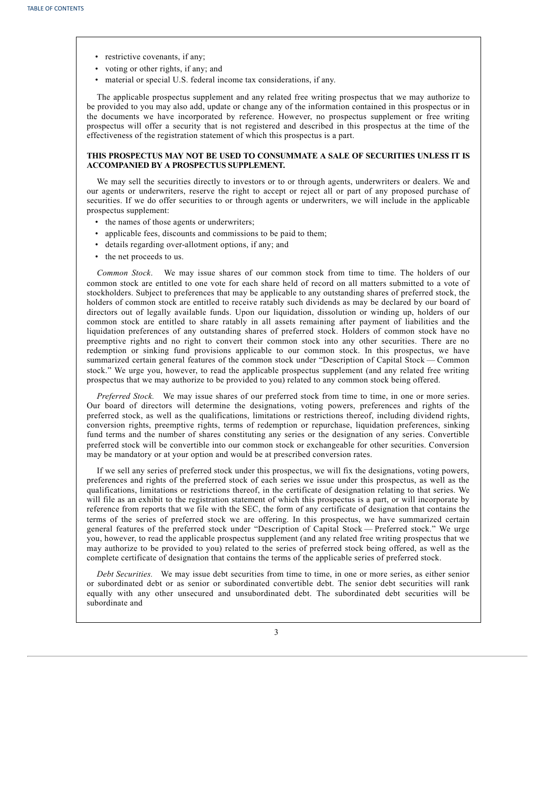- restrictive covenants, if any;
- voting or other rights, if any; and
- material or special U.S. federal income tax considerations, if any.

The applicable prospectus supplement and any related free writing prospectus that we may authorize to be provided to you may also add, update or change any of the information contained in this prospectus or in the documents we have incorporated by reference. However, no prospectus supplement or free writing prospectus will offer a security that is not registered and described in this prospectus at the time of the effectiveness of the registration statement of which this prospectus is a part.

# **THIS PROSPECTUS MAY NOT BE USED TO CONSUMMATE A SALE OF SECURITIES UNLESS IT IS ACCOMPANIED BY A PROSPECTUS SUPPLEMENT.**

We may sell the securities directly to investors or to or through agents, underwriters or dealers. We and our agents or underwriters, reserve the right to accept or reject all or part of any proposed purchase of securities. If we do offer securities to or through agents or underwriters, we will include in the applicable prospectus supplement:

- the names of those agents or underwriters;
- applicable fees, discounts and commissions to be paid to them;
- details regarding over-allotment options, if any; and
- the net proceeds to us.

*Common Stock*. We may issue shares of our common stock from time to time. The holders of our common stock are entitled to one vote for each share held of record on all matters submitted to a vote of stockholders. Subject to preferences that may be applicable to any outstanding shares of preferred stock, the holders of common stock are entitled to receive ratably such dividends as may be declared by our board of directors out of legally available funds. Upon our liquidation, dissolution or winding up, holders of our common stock are entitled to share ratably in all assets remaining after payment of liabilities and the liquidation preferences of any outstanding shares of preferred stock. Holders of common stock have no preemptive rights and no right to convert their common stock into any other securities. There are no redemption or sinking fund provisions applicable to our common stock. In this prospectus, we have summarized certain general features of the common stock under "Description of Capital Stock — Common stock." We urge you, however, to read the applicable prospectus supplement (and any related free writing prospectus that we may authorize to be provided to you) related to any common stock being offered.

*Preferred Stock.* We may issue shares of our preferred stock from time to time, in one or more series. Our board of directors will determine the designations, voting powers, preferences and rights of the preferred stock, as well as the qualifications, limitations or restrictions thereof, including dividend rights, conversion rights, preemptive rights, terms of redemption or repurchase, liquidation preferences, sinking fund terms and the number of shares constituting any series or the designation of any series. Convertible preferred stock will be convertible into our common stock or exchangeable for other securities. Conversion may be mandatory or at your option and would be at prescribed conversion rates.

If we sell any series of preferred stock under this prospectus, we will fix the designations, voting powers, preferences and rights of the preferred stock of each series we issue under this prospectus, as well as the qualifications, limitations or restrictions thereof, in the certificate of designation relating to that series. We will file as an exhibit to the registration statement of which this prospectus is a part, or will incorporate by reference from reports that we file with the SEC, the form of any certificate of designation that contains the terms of the series of preferred stock we are offering. In this prospectus, we have summarized certain general features of the preferred stock under "Description of Capital Stock — Preferred stock." We urge you, however, to read the applicable prospectus supplement (and any related free writing prospectus that we may authorize to be provided to you) related to the series of preferred stock being offered, as well as the complete certificate of designation that contains the terms of the applicable series of preferred stock.

*Debt Securities.* We may issue debt securities from time to time, in one or more series, as either senior or subordinated debt or as senior or subordinated convertible debt. The senior debt securities will rank equally with any other unsecured and unsubordinated debt. The subordinated debt securities will be subordinate and

3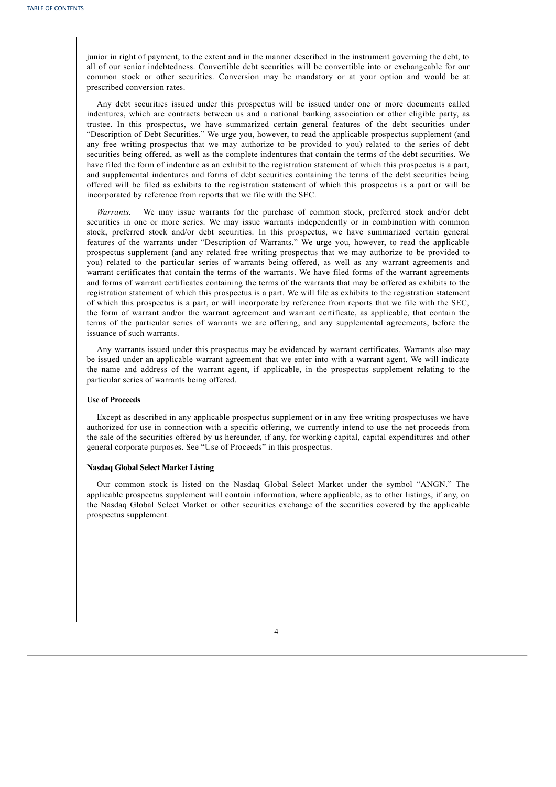junior in right of payment, to the extent and in the manner described in the instrument governing the debt, to all of our senior indebtedness. Convertible debt securities will be convertible into or exchangeable for our common stock or other securities. Conversion may be mandatory or at your option and would be at prescribed conversion rates.

Any debt securities issued under this prospectus will be issued under one or more documents called indentures, which are contracts between us and a national banking association or other eligible party, as trustee. In this prospectus, we have summarized certain general features of the debt securities under "Description of Debt Securities." We urge you, however, to read the applicable prospectus supplement (and any free writing prospectus that we may authorize to be provided to you) related to the series of debt securities being offered, as well as the complete indentures that contain the terms of the debt securities. We have filed the form of indenture as an exhibit to the registration statement of which this prospectus is a part, and supplemental indentures and forms of debt securities containing the terms of the debt securities being offered will be filed as exhibits to the registration statement of which this prospectus is a part or will be incorporated by reference from reports that we file with the SEC.

*Warrants.* We may issue warrants for the purchase of common stock, preferred stock and/or debt securities in one or more series. We may issue warrants independently or in combination with common stock, preferred stock and/or debt securities. In this prospectus, we have summarized certain general features of the warrants under "Description of Warrants." We urge you, however, to read the applicable prospectus supplement (and any related free writing prospectus that we may authorize to be provided to you) related to the particular series of warrants being offered, as well as any warrant agreements and warrant certificates that contain the terms of the warrants. We have filed forms of the warrant agreements and forms of warrant certificates containing the terms of the warrants that may be offered as exhibits to the registration statement of which this prospectus is a part. We will file as exhibits to the registration statement of which this prospectus is a part, or will incorporate by reference from reports that we file with the SEC, the form of warrant and/or the warrant agreement and warrant certificate, as applicable, that contain the terms of the particular series of warrants we are offering, and any supplemental agreements, before the issuance of such warrants.

Any warrants issued under this prospectus may be evidenced by warrant certificates. Warrants also may be issued under an applicable warrant agreement that we enter into with a warrant agent. We will indicate the name and address of the warrant agent, if applicable, in the prospectus supplement relating to the particular series of warrants being offered.

### **Use of Proceeds**

Except as described in any applicable prospectus supplement or in any free writing prospectuses we have authorized for use in connection with a specific offering, we currently intend to use the net proceeds from the sale of the securities offered by us hereunder, if any, for working capital, capital expenditures and other general corporate purposes. See "Use of Proceeds" in this prospectus.

# **Nasdaq Global Select Market Listing**

<span id="page-6-0"></span>Our common stock is listed on the Nasdaq Global Select Market under the symbol "ANGN." The applicable prospectus supplement will contain information, where applicable, as to other listings, if any, on the Nasdaq Global Select Market or other securities exchange of the securities covered by the applicable prospectus supplement.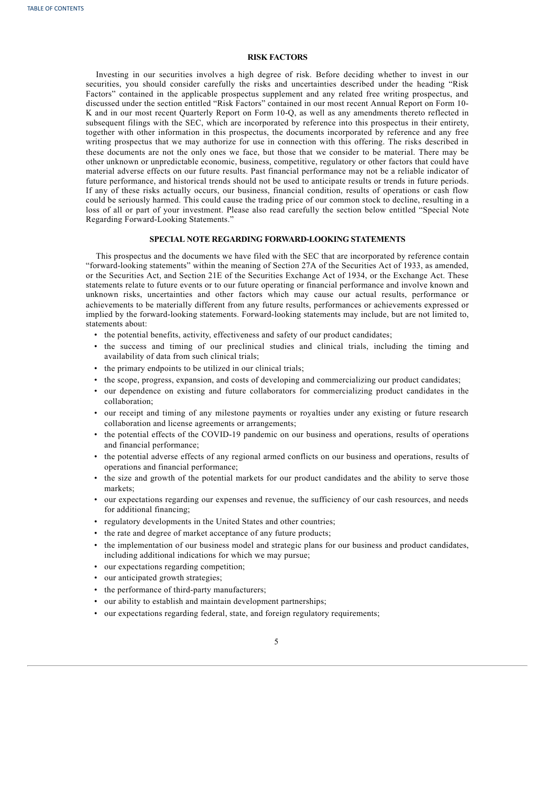# **RISK FACTORS**

Investing in our securities involves a high degree of risk. Before deciding whether to invest in our securities, you should consider carefully the risks and uncertainties described under the heading "Risk Factors" contained in the applicable prospectus supplement and any related free writing prospectus, and discussed under the section entitled "Risk Factors" contained in our most recent Annual Report on Form 10- K and in our most recent Quarterly Report on Form 10-Q, as well as any amendments thereto reflected in subsequent filings with the SEC, which are incorporated by reference into this prospectus in their entirety, together with other information in this prospectus, the documents incorporated by reference and any free writing prospectus that we may authorize for use in connection with this offering. The risks described in these documents are not the only ones we face, but those that we consider to be material. There may be other unknown or unpredictable economic, business, competitive, regulatory or other factors that could have material adverse effects on our future results. Past financial performance may not be a reliable indicator of future performance, and historical trends should not be used to anticipate results or trends in future periods. If any of these risks actually occurs, our business, financial condition, results of operations or cash flow could be seriously harmed. This could cause the trading price of our common stock to decline, resulting in a loss of all or part of your investment. Please also read carefully the section below entitled "Special Note Regarding Forward-Looking Statements."

# **SPECIAL NOTE REGARDING FORWARD-LOOKING STATEMENTS**

This prospectus and the documents we have filed with the SEC that are incorporated by reference contain "forward-looking statements" within the meaning of Section 27A of the Securities Act of 1933, as amended, or the Securities Act, and Section 21E of the Securities Exchange Act of 1934, or the Exchange Act. These statements relate to future events or to our future operating or financial performance and involve known and unknown risks, uncertainties and other factors which may cause our actual results, performance or achievements to be materially different from any future results, performances or achievements expressed or implied by the forward-looking statements. Forward-looking statements may include, but are not limited to, statements about:

- the potential benefits, activity, effectiveness and safety of our product candidates;
- the success and timing of our preclinical studies and clinical trials, including the timing and availability of data from such clinical trials;
- the primary endpoints to be utilized in our clinical trials;
- the scope, progress, expansion, and costs of developing and commercializing our product candidates;
- our dependence on existing and future collaborators for commercializing product candidates in the collaboration;
- our receipt and timing of any milestone payments or royalties under any existing or future research collaboration and license agreements or arrangements;
- the potential effects of the COVID-19 pandemic on our business and operations, results of operations and financial performance;
- the potential adverse effects of any regional armed conflicts on our business and operations, results of operations and financial performance;
- the size and growth of the potential markets for our product candidates and the ability to serve those markets;
- our expectations regarding our expenses and revenue, the sufficiency of our cash resources, and needs for additional financing;
- regulatory developments in the United States and other countries;
- the rate and degree of market acceptance of any future products;
- the implementation of our business model and strategic plans for our business and product candidates, including additional indications for which we may pursue;
- our expectations regarding competition;
- our anticipated growth strategies;
- the performance of third-party manufacturers;
- our ability to establish and maintain development partnerships;
- <span id="page-7-0"></span>• our expectations regarding federal, state, and foreign regulatory requirements;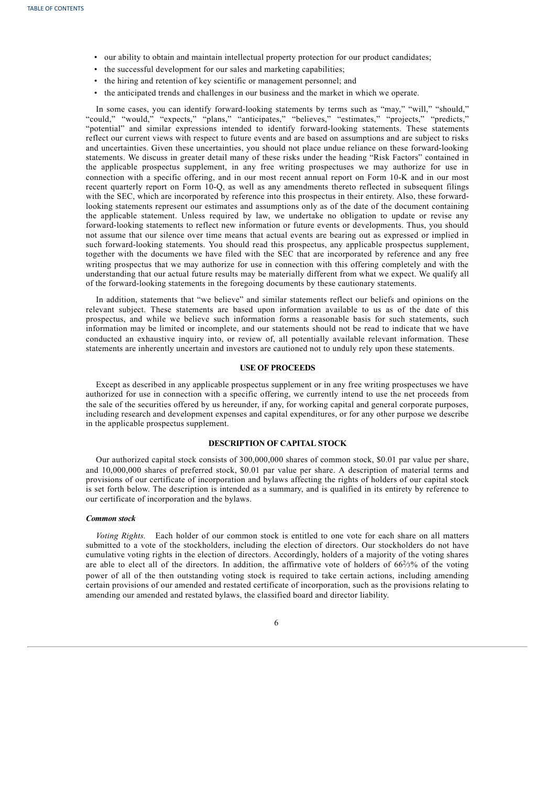- our ability to obtain and maintain intellectual property protection for our product candidates;
- the successful development for our sales and marketing capabilities;
- the hiring and retention of key scientific or management personnel; and
- the anticipated trends and challenges in our business and the market in which we operate.

In some cases, you can identify forward-looking statements by terms such as "may," "will," "should," "could," "would," "expects," "plans," "anticipates," "believes," "estimates," "projects," "predicts," "potential" and similar expressions intended to identify forward-looking statements. These statements reflect our current views with respect to future events and are based on assumptions and are subject to risks and uncertainties. Given these uncertainties, you should not place undue reliance on these forward-looking statements. We discuss in greater detail many of these risks under the heading "Risk Factors" contained in the applicable prospectus supplement, in any free writing prospectuses we may authorize for use in connection with a specific offering, and in our most recent annual report on Form 10-K and in our most recent quarterly report on Form 10-Q, as well as any amendments thereto reflected in subsequent filings with the SEC, which are incorporated by reference into this prospectus in their entirety. Also, these forwardlooking statements represent our estimates and assumptions only as of the date of the document containing the applicable statement. Unless required by law, we undertake no obligation to update or revise any forward-looking statements to reflect new information or future events or developments. Thus, you should not assume that our silence over time means that actual events are bearing out as expressed or implied in such forward-looking statements. You should read this prospectus, any applicable prospectus supplement, together with the documents we have filed with the SEC that are incorporated by reference and any free writing prospectus that we may authorize for use in connection with this offering completely and with the understanding that our actual future results may be materially different from what we expect. We qualify all of the forward-looking statements in the foregoing documents by these cautionary statements.

In addition, statements that "we believe" and similar statements reflect our beliefs and opinions on the relevant subject. These statements are based upon information available to us as of the date of this prospectus, and while we believe such information forms a reasonable basis for such statements, such information may be limited or incomplete, and our statements should not be read to indicate that we have conducted an exhaustive inquiry into, or review of, all potentially available relevant information. These statements are inherently uncertain and investors are cautioned not to unduly rely upon these statements.

# **USE OF PROCEEDS**

Except as described in any applicable prospectus supplement or in any free writing prospectuses we have authorized for use in connection with a specific offering, we currently intend to use the net proceeds from the sale of the securities offered by us hereunder, if any, for working capital and general corporate purposes, including research and development expenses and capital expenditures, or for any other purpose we describe in the applicable prospectus supplement.

# **DESCRIPTION OF CAPITAL STOCK**

Our authorized capital stock consists of 300,000,000 shares of common stock, \$0.01 par value per share, and 10,000,000 shares of preferred stock, \$0.01 par value per share. A description of material terms and provisions of our certificate of incorporation and bylaws affecting the rights of holders of our capital stock is set forth below. The description is intended as a summary, and is qualified in its entirety by reference to our certificate of incorporation and the bylaws.

### *Common stock*

*Voting Rights.* Each holder of our common stock is entitled to one vote for each share on all matters submitted to a vote of the stockholders, including the election of directors. Our stockholders do not have cumulative voting rights in the election of directors. Accordingly, holders of a majority of the voting shares are able to elect all of the directors. In addition, the affirmative vote of holders of  $66\frac{2}{3}\%$  of the voting power of all of the then outstanding voting stock is required to take certain actions, including amending certain provisions of our amended and restated certificate of incorporation, such as the provisions relating to amending our amended and restated bylaws, the classified board and director liability.

6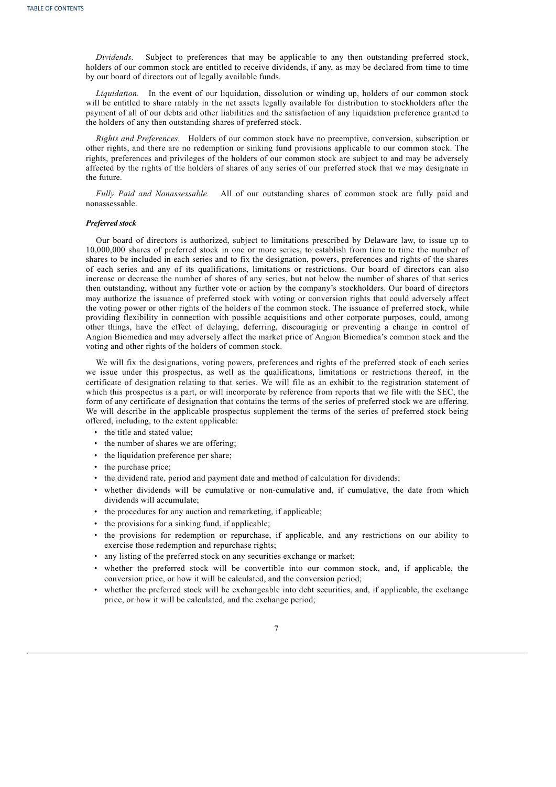*Dividends.* Subject to preferences that may be applicable to any then outstanding preferred stock, holders of our common stock are entitled to receive dividends, if any, as may be declared from time to time by our board of directors out of legally available funds.

*Liquidation.* In the event of our liquidation, dissolution or winding up, holders of our common stock will be entitled to share ratably in the net assets legally available for distribution to stockholders after the payment of all of our debts and other liabilities and the satisfaction of any liquidation preference granted to the holders of any then outstanding shares of preferred stock.

*Rights and Preferences.* Holders of our common stock have no preemptive, conversion, subscription or other rights, and there are no redemption or sinking fund provisions applicable to our common stock. The rights, preferences and privileges of the holders of our common stock are subject to and may be adversely affected by the rights of the holders of shares of any series of our preferred stock that we may designate in the future.

*Fully Paid and Nonassessable.* All of our outstanding shares of common stock are fully paid and nonassessable.

# *Preferred stock*

Our board of directors is authorized, subject to limitations prescribed by Delaware law, to issue up to 10,000,000 shares of preferred stock in one or more series, to establish from time to time the number of shares to be included in each series and to fix the designation, powers, preferences and rights of the shares of each series and any of its qualifications, limitations or restrictions. Our board of directors can also increase or decrease the number of shares of any series, but not below the number of shares of that series then outstanding, without any further vote or action by the company's stockholders. Our board of directors may authorize the issuance of preferred stock with voting or conversion rights that could adversely affect the voting power or other rights of the holders of the common stock. The issuance of preferred stock, while providing flexibility in connection with possible acquisitions and other corporate purposes, could, among other things, have the effect of delaying, deferring, discouraging or preventing a change in control of Angion Biomedica and may adversely affect the market price of Angion Biomedica's common stock and the voting and other rights of the holders of common stock.

We will fix the designations, voting powers, preferences and rights of the preferred stock of each series we issue under this prospectus, as well as the qualifications, limitations or restrictions thereof, in the certificate of designation relating to that series. We will file as an exhibit to the registration statement of which this prospectus is a part, or will incorporate by reference from reports that we file with the SEC, the form of any certificate of designation that contains the terms of the series of preferred stock we are offering. We will describe in the applicable prospectus supplement the terms of the series of preferred stock being offered, including, to the extent applicable:

- the title and stated value;
- the number of shares we are offering;
- the liquidation preference per share;
- the purchase price;
- the dividend rate, period and payment date and method of calculation for dividends;
- whether dividends will be cumulative or non-cumulative and, if cumulative, the date from which dividends will accumulate;
- the procedures for any auction and remarketing, if applicable;
- the provisions for a sinking fund, if applicable;
- the provisions for redemption or repurchase, if applicable, and any restrictions on our ability to exercise those redemption and repurchase rights;
- any listing of the preferred stock on any securities exchange or market;
- whether the preferred stock will be convertible into our common stock, and, if applicable, the conversion price, or how it will be calculated, and the conversion period;
- whether the preferred stock will be exchangeable into debt securities, and, if applicable, the exchange price, or how it will be calculated, and the exchange period;

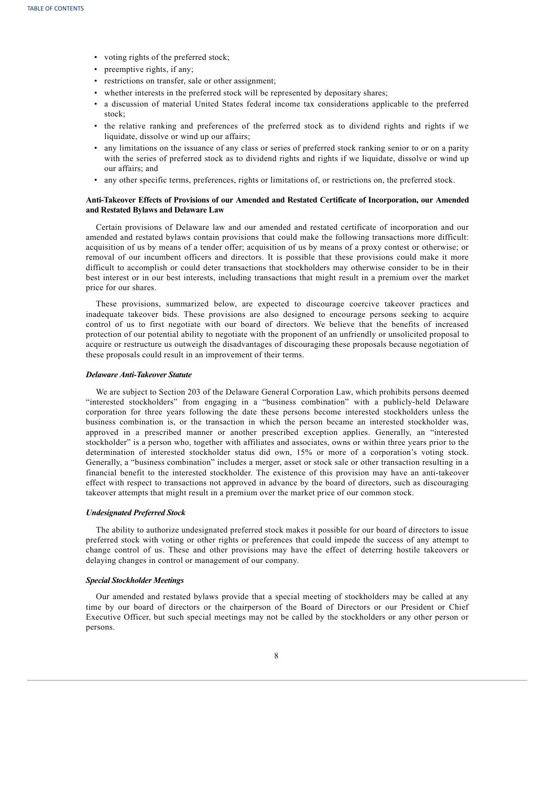- voting rights of the preferred stock;
- preemptive rights, if any;
- restrictions on transfer, sale or other assignment;
- whether interests in the preferred stock will be represented by depositary shares;
- a discussion of material United States federal income tax considerations applicable to the preferred stock;
- the relative ranking and preferences of the preferred stock as to dividend rights and rights if we liquidate, dissolve or wind up our affairs;
- any limitations on the issuance of any class or series of preferred stock ranking senior to or on a parity with the series of preferred stock as to dividend rights and rights if we liquidate, dissolve or wind up our affairs; and
- any other specific terms, preferences, rights or limitations of, or restrictions on, the preferred stock.

# **Anti-Takeover Effects of Provisions of our Amended and Restated Certificate of Incorporation, our Amended and Restated Bylaws and Delaware Law**

Certain provisions of Delaware law and our amended and restated certificate of incorporation and our amended and restated bylaws contain provisions that could make the following transactions more difficult: acquisition of us by means of a tender offer; acquisition of us by means of a proxy contest or otherwise; or removal of our incumbent officers and directors. It is possible that these provisions could make it more difficult to accomplish or could deter transactions that stockholders may otherwise consider to be in their best interest or in our best interests, including transactions that might result in a premium over the market price for our shares.

These provisions, summarized below, are expected to discourage coercive takeover practices and inadequate takeover bids. These provisions are also designed to encourage persons seeking to acquire control of us to first negotiate with our board of directors. We believe that the benefits of increased protection of our potential ability to negotiate with the proponent of an unfriendly or unsolicited proposal to acquire or restructure us outweigh the disadvantages of discouraging these proposals because negotiation of these proposals could result in an improvement of their terms.

# *Delaware Anti-Takeover Statute*

We are subject to Section 203 of the Delaware General Corporation Law, which prohibits persons deemed "interested stockholders" from engaging in a "business combination" with a publicly-held Delaware corporation for three years following the date these persons become interested stockholders unless the business combination is, or the transaction in which the person became an interested stockholder was, approved in a prescribed manner or another prescribed exception applies. Generally, an "interested stockholder" is a person who, together with affiliates and associates, owns or within three years prior to the determination of interested stockholder status did own, 15% or more of a corporation's voting stock. Generally, a "business combination" includes a merger, asset or stock sale or other transaction resulting in a financial benefit to the interested stockholder. The existence of this provision may have an anti-takeover effect with respect to transactions not approved in advance by the board of directors, such as discouraging takeover attempts that might result in a premium over the market price of our common stock.

### *Undesignated Preferred Stock*

The ability to authorize undesignated preferred stock makes it possible for our board of directors to issue preferred stock with voting or other rights or preferences that could impede the success of any attempt to change control of us. These and other provisions may have the effect of deterring hostile takeovers or delaying changes in control or management of our company.

# *Special Stockholder Meetings*

Our amended and restated bylaws provide that a special meeting of stockholders may be called at any time by our board of directors or the chairperson of the Board of Directors or our President or Chief Executive Officer, but such special meetings may not be called by the stockholders or any other person or persons.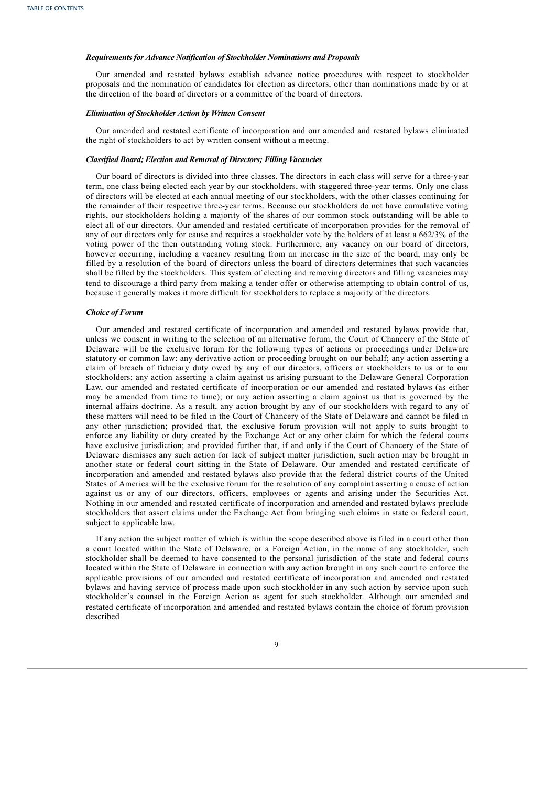# *Requirements for Advance Notification of Stockholder Nominations and Proposals*

Our amended and restated bylaws establish advance notice procedures with respect to stockholder proposals and the nomination of candidates for election as directors, other than nominations made by or at the direction of the board of directors or a committee of the board of directors.

### *Elimination of Stockholder Action by Written Consent*

Our amended and restated certificate of incorporation and our amended and restated bylaws eliminated the right of stockholders to act by written consent without a meeting.

# *Classified Board; Election and Removal of Directors; Filling Vacancies*

Our board of directors is divided into three classes. The directors in each class will serve for a three-year term, one class being elected each year by our stockholders, with staggered three-year terms. Only one class of directors will be elected at each annual meeting of our stockholders, with the other classes continuing for the remainder of their respective three-year terms. Because our stockholders do not have cumulative voting rights, our stockholders holding a majority of the shares of our common stock outstanding will be able to elect all of our directors. Our amended and restated certificate of incorporation provides for the removal of any of our directors only for cause and requires a stockholder vote by the holders of at least a 662/3% of the voting power of the then outstanding voting stock. Furthermore, any vacancy on our board of directors, however occurring, including a vacancy resulting from an increase in the size of the board, may only be filled by a resolution of the board of directors unless the board of directors determines that such vacancies shall be filled by the stockholders. This system of electing and removing directors and filling vacancies may tend to discourage a third party from making a tender offer or otherwise attempting to obtain control of us, because it generally makes it more difficult for stockholders to replace a majority of the directors.

# *Choice of Forum*

Our amended and restated certificate of incorporation and amended and restated bylaws provide that, unless we consent in writing to the selection of an alternative forum, the Court of Chancery of the State of Delaware will be the exclusive forum for the following types of actions or proceedings under Delaware statutory or common law: any derivative action or proceeding brought on our behalf; any action asserting a claim of breach of fiduciary duty owed by any of our directors, officers or stockholders to us or to our stockholders; any action asserting a claim against us arising pursuant to the Delaware General Corporation Law, our amended and restated certificate of incorporation or our amended and restated bylaws (as either may be amended from time to time); or any action asserting a claim against us that is governed by the internal affairs doctrine. As a result, any action brought by any of our stockholders with regard to any of these matters will need to be filed in the Court of Chancery of the State of Delaware and cannot be filed in any other jurisdiction; provided that, the exclusive forum provision will not apply to suits brought to enforce any liability or duty created by the Exchange Act or any other claim for which the federal courts have exclusive jurisdiction; and provided further that, if and only if the Court of Chancery of the State of Delaware dismisses any such action for lack of subject matter jurisdiction, such action may be brought in another state or federal court sitting in the State of Delaware. Our amended and restated certificate of incorporation and amended and restated bylaws also provide that the federal district courts of the United States of America will be the exclusive forum for the resolution of any complaint asserting a cause of action against us or any of our directors, officers, employees or agents and arising under the Securities Act. Nothing in our amended and restated certificate of incorporation and amended and restated bylaws preclude stockholders that assert claims under the Exchange Act from bringing such claims in state or federal court, subject to applicable law.

If any action the subject matter of which is within the scope described above is filed in a court other than a court located within the State of Delaware, or a Foreign Action, in the name of any stockholder, such stockholder shall be deemed to have consented to the personal jurisdiction of the state and federal courts located within the State of Delaware in connection with any action brought in any such court to enforce the applicable provisions of our amended and restated certificate of incorporation and amended and restated bylaws and having service of process made upon such stockholder in any such action by service upon such stockholder's counsel in the Foreign Action as agent for such stockholder. Although our amended and restated certificate of incorporation and amended and restated bylaws contain the choice of forum provision described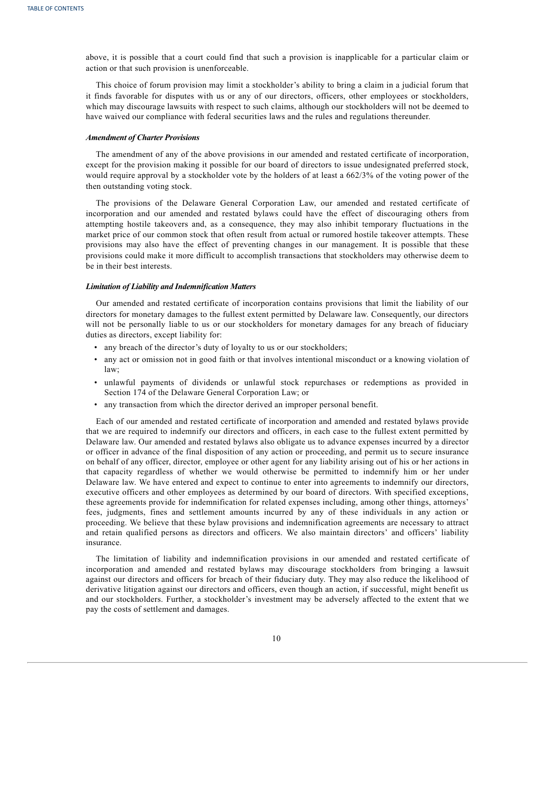above, it is possible that a court could find that such a provision is inapplicable for a particular claim or action or that such provision is unenforceable.

This choice of forum provision may limit a stockholder's ability to bring a claim in a judicial forum that it finds favorable for disputes with us or any of our directors, officers, other employees or stockholders, which may discourage lawsuits with respect to such claims, although our stockholders will not be deemed to have waived our compliance with federal securities laws and the rules and regulations thereunder.

# *Amendment of Charter Provisions*

The amendment of any of the above provisions in our amended and restated certificate of incorporation, except for the provision making it possible for our board of directors to issue undesignated preferred stock, would require approval by a stockholder vote by the holders of at least a 662/3% of the voting power of the then outstanding voting stock.

The provisions of the Delaware General Corporation Law, our amended and restated certificate of incorporation and our amended and restated bylaws could have the effect of discouraging others from attempting hostile takeovers and, as a consequence, they may also inhibit temporary fluctuations in the market price of our common stock that often result from actual or rumored hostile takeover attempts. These provisions may also have the effect of preventing changes in our management. It is possible that these provisions could make it more difficult to accomplish transactions that stockholders may otherwise deem to be in their best interests.

# *Limitation of Liability and Indemnification Matters*

Our amended and restated certificate of incorporation contains provisions that limit the liability of our directors for monetary damages to the fullest extent permitted by Delaware law. Consequently, our directors will not be personally liable to us or our stockholders for monetary damages for any breach of fiduciary duties as directors, except liability for:

- any breach of the director's duty of loyalty to us or our stockholders;
- any act or omission not in good faith or that involves intentional misconduct or a knowing violation of law;
- unlawful payments of dividends or unlawful stock repurchases or redemptions as provided in Section 174 of the Delaware General Corporation Law; or
- any transaction from which the director derived an improper personal benefit.

Each of our amended and restated certificate of incorporation and amended and restated bylaws provide that we are required to indemnify our directors and officers, in each case to the fullest extent permitted by Delaware law. Our amended and restated bylaws also obligate us to advance expenses incurred by a director or officer in advance of the final disposition of any action or proceeding, and permit us to secure insurance on behalf of any officer, director, employee or other agent for any liability arising out of his or her actions in that capacity regardless of whether we would otherwise be permitted to indemnify him or her under Delaware law. We have entered and expect to continue to enter into agreements to indemnify our directors, executive officers and other employees as determined by our board of directors. With specified exceptions, these agreements provide for indemnification for related expenses including, among other things, attorneys' fees, judgments, fines and settlement amounts incurred by any of these individuals in any action or proceeding. We believe that these bylaw provisions and indemnification agreements are necessary to attract and retain qualified persons as directors and officers. We also maintain directors' and officers' liability insurance.

<span id="page-12-0"></span>The limitation of liability and indemnification provisions in our amended and restated certificate of incorporation and amended and restated bylaws may discourage stockholders from bringing a lawsuit against our directors and officers for breach of their fiduciary duty. They may also reduce the likelihood of derivative litigation against our directors and officers, even though an action, if successful, might benefit us and our stockholders. Further, a stockholder's investment may be adversely affected to the extent that we pay the costs of settlement and damages.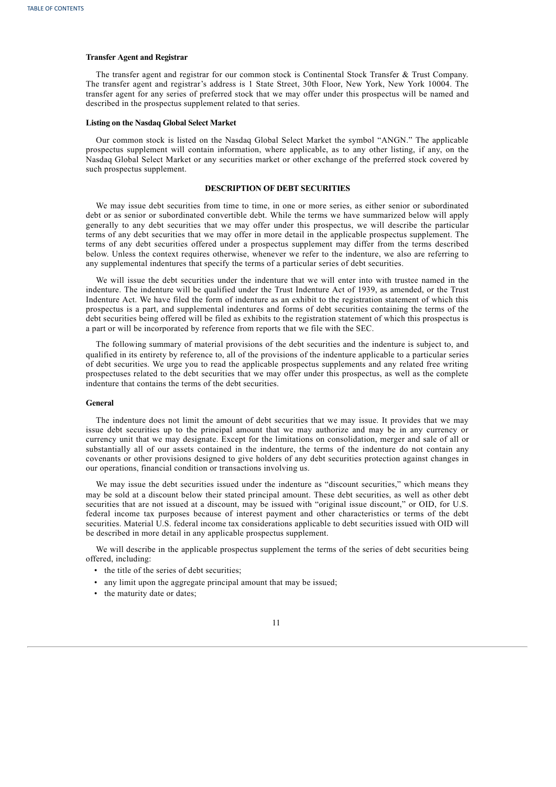# **Transfer Agent and Registrar**

The transfer agent and registrar for our common stock is Continental Stock Transfer & Trust Company. The transfer agent and registrar's address is 1 State Street, 30th Floor, New York, New York 10004. The transfer agent for any series of preferred stock that we may offer under this prospectus will be named and described in the prospectus supplement related to that series.

# **Listing on the Nasdaq Global Select Market**

Our common stock is listed on the Nasdaq Global Select Market the symbol "ANGN." The applicable prospectus supplement will contain information, where applicable, as to any other listing, if any, on the Nasdaq Global Select Market or any securities market or other exchange of the preferred stock covered by such prospectus supplement.

# **DESCRIPTION OF DEBT SECURITIES**

We may issue debt securities from time to time, in one or more series, as either senior or subordinated debt or as senior or subordinated convertible debt. While the terms we have summarized below will apply generally to any debt securities that we may offer under this prospectus, we will describe the particular terms of any debt securities that we may offer in more detail in the applicable prospectus supplement. The terms of any debt securities offered under a prospectus supplement may differ from the terms described below. Unless the context requires otherwise, whenever we refer to the indenture, we also are referring to any supplemental indentures that specify the terms of a particular series of debt securities.

We will issue the debt securities under the indenture that we will enter into with trustee named in the indenture. The indenture will be qualified under the Trust Indenture Act of 1939, as amended, or the Trust Indenture Act. We have filed the form of indenture as an exhibit to the registration statement of which this prospectus is a part, and supplemental indentures and forms of debt securities containing the terms of the debt securities being offered will be filed as exhibits to the registration statement of which this prospectus is a part or will be incorporated by reference from reports that we file with the SEC.

The following summary of material provisions of the debt securities and the indenture is subject to, and qualified in its entirety by reference to, all of the provisions of the indenture applicable to a particular series of debt securities. We urge you to read the applicable prospectus supplements and any related free writing prospectuses related to the debt securities that we may offer under this prospectus, as well as the complete indenture that contains the terms of the debt securities.

### **General**

The indenture does not limit the amount of debt securities that we may issue. It provides that we may issue debt securities up to the principal amount that we may authorize and may be in any currency or currency unit that we may designate. Except for the limitations on consolidation, merger and sale of all or substantially all of our assets contained in the indenture, the terms of the indenture do not contain any covenants or other provisions designed to give holders of any debt securities protection against changes in our operations, financial condition or transactions involving us.

We may issue the debt securities issued under the indenture as "discount securities," which means they may be sold at a discount below their stated principal amount. These debt securities, as well as other debt securities that are not issued at a discount, may be issued with "original issue discount," or OID, for U.S. federal income tax purposes because of interest payment and other characteristics or terms of the debt securities. Material U.S. federal income tax considerations applicable to debt securities issued with OID will be described in more detail in any applicable prospectus supplement.

We will describe in the applicable prospectus supplement the terms of the series of debt securities being offered, including:

- the title of the series of debt securities;
- any limit upon the aggregate principal amount that may be issued;
- the maturity date or dates;

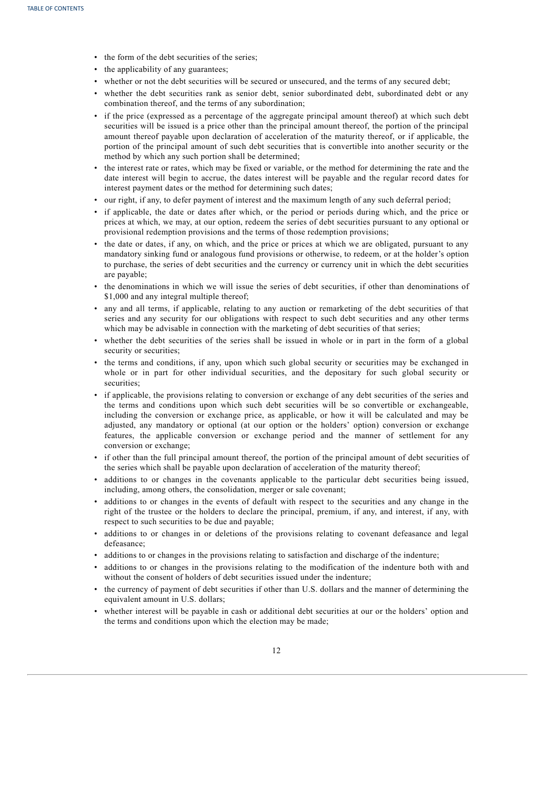- the form of the debt securities of the series;
- the applicability of any guarantees;
- whether or not the debt securities will be secured or unsecured, and the terms of any secured debt;
- whether the debt securities rank as senior debt, senior subordinated debt, subordinated debt or any combination thereof, and the terms of any subordination;
- if the price (expressed as a percentage of the aggregate principal amount thereof) at which such debt securities will be issued is a price other than the principal amount thereof, the portion of the principal amount thereof payable upon declaration of acceleration of the maturity thereof, or if applicable, the portion of the principal amount of such debt securities that is convertible into another security or the method by which any such portion shall be determined;
- the interest rate or rates, which may be fixed or variable, or the method for determining the rate and the date interest will begin to accrue, the dates interest will be payable and the regular record dates for interest payment dates or the method for determining such dates;
- our right, if any, to defer payment of interest and the maximum length of any such deferral period;
- if applicable, the date or dates after which, or the period or periods during which, and the price or prices at which, we may, at our option, redeem the series of debt securities pursuant to any optional or provisional redemption provisions and the terms of those redemption provisions;
- the date or dates, if any, on which, and the price or prices at which we are obligated, pursuant to any mandatory sinking fund or analogous fund provisions or otherwise, to redeem, or at the holder's option to purchase, the series of debt securities and the currency or currency unit in which the debt securities are payable;
- the denominations in which we will issue the series of debt securities, if other than denominations of \$1,000 and any integral multiple thereof;
- any and all terms, if applicable, relating to any auction or remarketing of the debt securities of that series and any security for our obligations with respect to such debt securities and any other terms which may be advisable in connection with the marketing of debt securities of that series;
- whether the debt securities of the series shall be issued in whole or in part in the form of a global security or securities;
- the terms and conditions, if any, upon which such global security or securities may be exchanged in whole or in part for other individual securities, and the depositary for such global security or securities;
- if applicable, the provisions relating to conversion or exchange of any debt securities of the series and the terms and conditions upon which such debt securities will be so convertible or exchangeable, including the conversion or exchange price, as applicable, or how it will be calculated and may be adjusted, any mandatory or optional (at our option or the holders' option) conversion or exchange features, the applicable conversion or exchange period and the manner of settlement for any conversion or exchange;
- if other than the full principal amount thereof, the portion of the principal amount of debt securities of the series which shall be payable upon declaration of acceleration of the maturity thereof;
- additions to or changes in the covenants applicable to the particular debt securities being issued, including, among others, the consolidation, merger or sale covenant;
- additions to or changes in the events of default with respect to the securities and any change in the right of the trustee or the holders to declare the principal, premium, if any, and interest, if any, with respect to such securities to be due and payable;
- additions to or changes in or deletions of the provisions relating to covenant defeasance and legal defeasance;
- additions to or changes in the provisions relating to satisfaction and discharge of the indenture;
- additions to or changes in the provisions relating to the modification of the indenture both with and without the consent of holders of debt securities issued under the indenture;
- the currency of payment of debt securities if other than U.S. dollars and the manner of determining the equivalent amount in U.S. dollars;
- whether interest will be payable in cash or additional debt securities at our or the holders' option and the terms and conditions upon which the election may be made;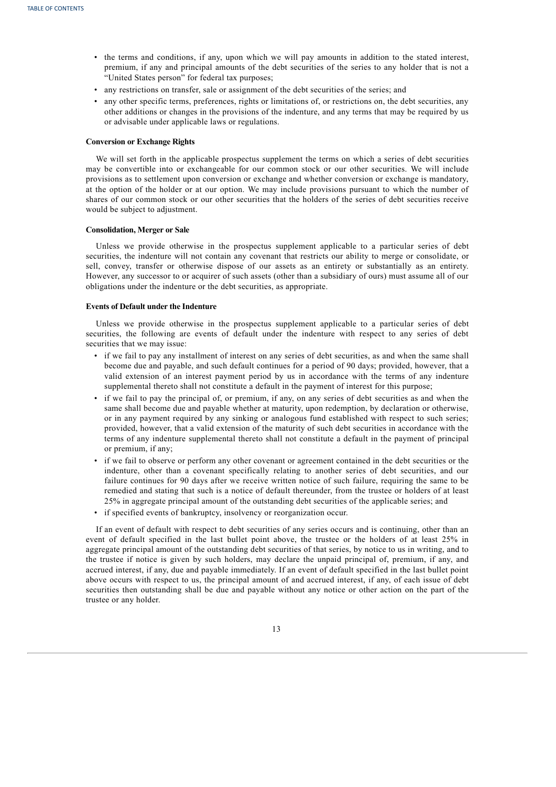- the terms and conditions, if any, upon which we will pay amounts in addition to the stated interest, premium, if any and principal amounts of the debt securities of the series to any holder that is not a "United States person" for federal tax purposes;
- any restrictions on transfer, sale or assignment of the debt securities of the series; and
- any other specific terms, preferences, rights or limitations of, or restrictions on, the debt securities, any other additions or changes in the provisions of the indenture, and any terms that may be required by us or advisable under applicable laws or regulations.

# **Conversion or Exchange Rights**

We will set forth in the applicable prospectus supplement the terms on which a series of debt securities may be convertible into or exchangeable for our common stock or our other securities. We will include provisions as to settlement upon conversion or exchange and whether conversion or exchange is mandatory, at the option of the holder or at our option. We may include provisions pursuant to which the number of shares of our common stock or our other securities that the holders of the series of debt securities receive would be subject to adjustment.

### **Consolidation, Merger or Sale**

Unless we provide otherwise in the prospectus supplement applicable to a particular series of debt securities, the indenture will not contain any covenant that restricts our ability to merge or consolidate, or sell, convey, transfer or otherwise dispose of our assets as an entirety or substantially as an entirety. However, any successor to or acquirer of such assets (other than a subsidiary of ours) must assume all of our obligations under the indenture or the debt securities, as appropriate.

# **Events of Default under the Indenture**

Unless we provide otherwise in the prospectus supplement applicable to a particular series of debt securities, the following are events of default under the indenture with respect to any series of debt securities that we may issue:

- if we fail to pay any installment of interest on any series of debt securities, as and when the same shall become due and payable, and such default continues for a period of 90 days; provided, however, that a valid extension of an interest payment period by us in accordance with the terms of any indenture supplemental thereto shall not constitute a default in the payment of interest for this purpose;
- if we fail to pay the principal of, or premium, if any, on any series of debt securities as and when the same shall become due and payable whether at maturity, upon redemption, by declaration or otherwise, or in any payment required by any sinking or analogous fund established with respect to such series; provided, however, that a valid extension of the maturity of such debt securities in accordance with the terms of any indenture supplemental thereto shall not constitute a default in the payment of principal or premium, if any;
- if we fail to observe or perform any other covenant or agreement contained in the debt securities or the indenture, other than a covenant specifically relating to another series of debt securities, and our failure continues for 90 days after we receive written notice of such failure, requiring the same to be remedied and stating that such is a notice of default thereunder, from the trustee or holders of at least 25% in aggregate principal amount of the outstanding debt securities of the applicable series; and
- if specified events of bankruptcy, insolvency or reorganization occur.

If an event of default with respect to debt securities of any series occurs and is continuing, other than an event of default specified in the last bullet point above, the trustee or the holders of at least 25% in aggregate principal amount of the outstanding debt securities of that series, by notice to us in writing, and to the trustee if notice is given by such holders, may declare the unpaid principal of, premium, if any, and accrued interest, if any, due and payable immediately. If an event of default specified in the last bullet point above occurs with respect to us, the principal amount of and accrued interest, if any, of each issue of debt securities then outstanding shall be due and payable without any notice or other action on the part of the trustee or any holder.

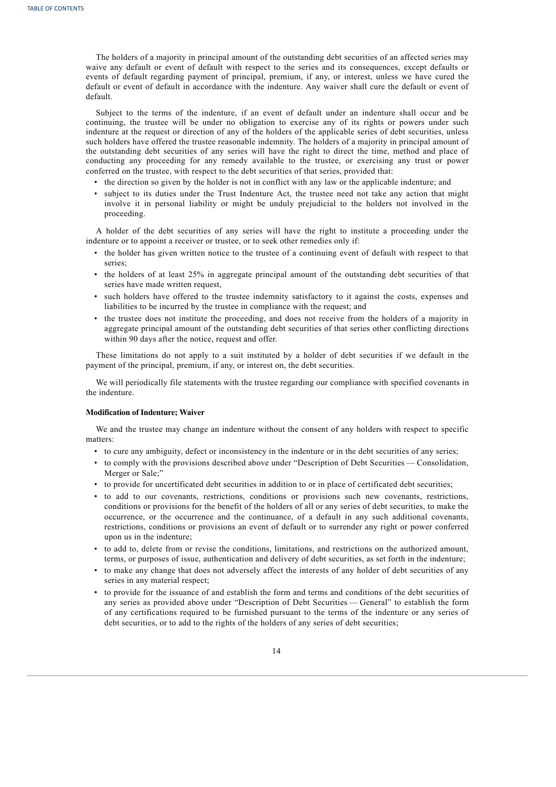The holders of a majority in principal amount of the outstanding debt securities of an affected series may waive any default or event of default with respect to the series and its consequences, except defaults or events of default regarding payment of principal, premium, if any, or interest, unless we have cured the default or event of default in accordance with the indenture. Any waiver shall cure the default or event of default.

Subject to the terms of the indenture, if an event of default under an indenture shall occur and be continuing, the trustee will be under no obligation to exercise any of its rights or powers under such indenture at the request or direction of any of the holders of the applicable series of debt securities, unless such holders have offered the trustee reasonable indemnity. The holders of a majority in principal amount of the outstanding debt securities of any series will have the right to direct the time, method and place of conducting any proceeding for any remedy available to the trustee, or exercising any trust or power conferred on the trustee, with respect to the debt securities of that series, provided that:

- the direction so given by the holder is not in conflict with any law or the applicable indenture; and
- subject to its duties under the Trust Indenture Act, the trustee need not take any action that might involve it in personal liability or might be unduly prejudicial to the holders not involved in the proceeding.

A holder of the debt securities of any series will have the right to institute a proceeding under the indenture or to appoint a receiver or trustee, or to seek other remedies only if:

- the holder has given written notice to the trustee of a continuing event of default with respect to that series;
- the holders of at least 25% in aggregate principal amount of the outstanding debt securities of that series have made written request,
- such holders have offered to the trustee indemnity satisfactory to it against the costs, expenses and liabilities to be incurred by the trustee in compliance with the request; and
- the trustee does not institute the proceeding, and does not receive from the holders of a majority in aggregate principal amount of the outstanding debt securities of that series other conflicting directions within 90 days after the notice, request and offer.

These limitations do not apply to a suit instituted by a holder of debt securities if we default in the payment of the principal, premium, if any, or interest on, the debt securities.

We will periodically file statements with the trustee regarding our compliance with specified covenants in the indenture.

# **Modification of Indenture; Waiver**

We and the trustee may change an indenture without the consent of any holders with respect to specific matters:

- to cure any ambiguity, defect or inconsistency in the indenture or in the debt securities of any series;
- to comply with the provisions described above under "Description of Debt Securities Consolidation, Merger or Sale;"
- to provide for uncertificated debt securities in addition to or in place of certificated debt securities;
- to add to our covenants, restrictions, conditions or provisions such new covenants, restrictions, conditions or provisions for the benefit of the holders of all or any series of debt securities, to make the occurrence, or the occurrence and the continuance, of a default in any such additional covenants, restrictions, conditions or provisions an event of default or to surrender any right or power conferred upon us in the indenture;
- to add to, delete from or revise the conditions, limitations, and restrictions on the authorized amount, terms, or purposes of issue, authentication and delivery of debt securities, as set forth in the indenture;
- to make any change that does not adversely affect the interests of any holder of debt securities of any series in any material respect;
- to provide for the issuance of and establish the form and terms and conditions of the debt securities of any series as provided above under "Description of Debt Securities — General" to establish the form of any certifications required to be furnished pursuant to the terms of the indenture or any series of debt securities, or to add to the rights of the holders of any series of debt securities;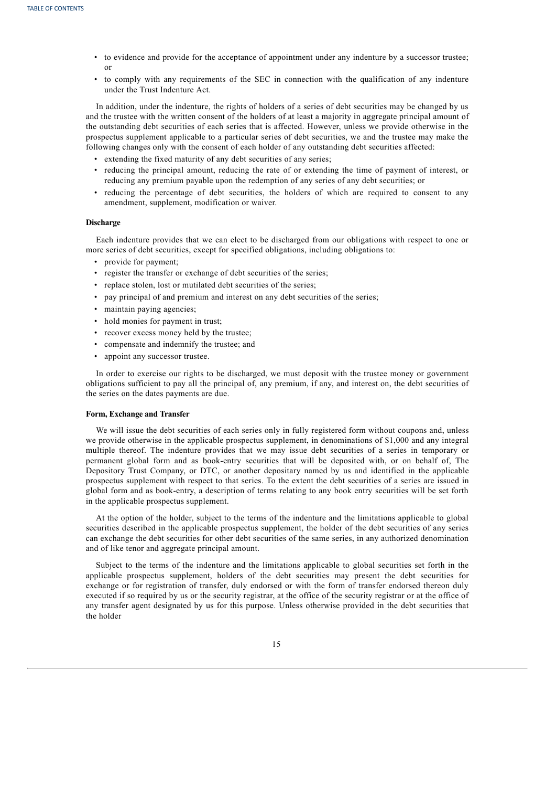- to evidence and provide for the acceptance of appointment under any indenture by a successor trustee; or
- to comply with any requirements of the SEC in connection with the qualification of any indenture under the Trust Indenture Act.

In addition, under the indenture, the rights of holders of a series of debt securities may be changed by us and the trustee with the written consent of the holders of at least a majority in aggregate principal amount of the outstanding debt securities of each series that is affected. However, unless we provide otherwise in the prospectus supplement applicable to a particular series of debt securities, we and the trustee may make the following changes only with the consent of each holder of any outstanding debt securities affected:

- extending the fixed maturity of any debt securities of any series;
- reducing the principal amount, reducing the rate of or extending the time of payment of interest, or reducing any premium payable upon the redemption of any series of any debt securities; or
- reducing the percentage of debt securities, the holders of which are required to consent to any amendment, supplement, modification or waiver.

# **Discharge**

Each indenture provides that we can elect to be discharged from our obligations with respect to one or more series of debt securities, except for specified obligations, including obligations to:

- provide for payment;
- register the transfer or exchange of debt securities of the series;
- replace stolen, lost or mutilated debt securities of the series;
- pay principal of and premium and interest on any debt securities of the series;
- maintain paying agencies;
- hold monies for payment in trust;
- recover excess money held by the trustee;
- compensate and indemnify the trustee; and
- appoint any successor trustee.

In order to exercise our rights to be discharged, we must deposit with the trustee money or government obligations sufficient to pay all the principal of, any premium, if any, and interest on, the debt securities of the series on the dates payments are due.

# **Form, Exchange and Transfer**

We will issue the debt securities of each series only in fully registered form without coupons and, unless we provide otherwise in the applicable prospectus supplement, in denominations of \$1,000 and any integral multiple thereof. The indenture provides that we may issue debt securities of a series in temporary or permanent global form and as book-entry securities that will be deposited with, or on behalf of, The Depository Trust Company, or DTC, or another depositary named by us and identified in the applicable prospectus supplement with respect to that series. To the extent the debt securities of a series are issued in global form and as book-entry, a description of terms relating to any book entry securities will be set forth in the applicable prospectus supplement.

At the option of the holder, subject to the terms of the indenture and the limitations applicable to global securities described in the applicable prospectus supplement, the holder of the debt securities of any series can exchange the debt securities for other debt securities of the same series, in any authorized denomination and of like tenor and aggregate principal amount.

<span id="page-17-0"></span>Subject to the terms of the indenture and the limitations applicable to global securities set forth in the applicable prospectus supplement, holders of the debt securities may present the debt securities for exchange or for registration of transfer, duly endorsed or with the form of transfer endorsed thereon duly executed if so required by us or the security registrar, at the office of the security registrar or at the office of any transfer agent designated by us for this purpose. Unless otherwise provided in the debt securities that the holder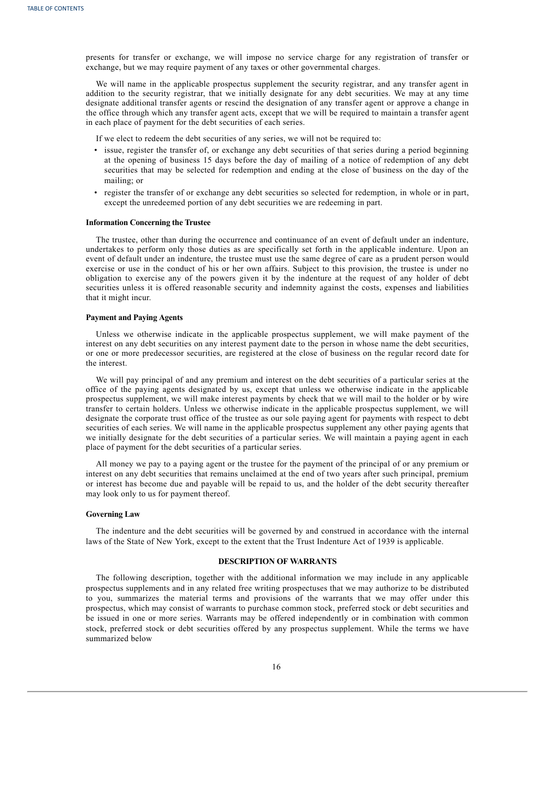presents for transfer or exchange, we will impose no service charge for any registration of transfer or exchange, but we may require payment of any taxes or other governmental charges.

We will name in the applicable prospectus supplement the security registrar, and any transfer agent in addition to the security registrar, that we initially designate for any debt securities. We may at any time designate additional transfer agents or rescind the designation of any transfer agent or approve a change in the office through which any transfer agent acts, except that we will be required to maintain a transfer agent in each place of payment for the debt securities of each series.

If we elect to redeem the debt securities of any series, we will not be required to:

- issue, register the transfer of, or exchange any debt securities of that series during a period beginning at the opening of business 15 days before the day of mailing of a notice of redemption of any debt securities that may be selected for redemption and ending at the close of business on the day of the mailing; or
- register the transfer of or exchange any debt securities so selected for redemption, in whole or in part, except the unredeemed portion of any debt securities we are redeeming in part.

# **Information Concerning the Trustee**

The trustee, other than during the occurrence and continuance of an event of default under an indenture, undertakes to perform only those duties as are specifically set forth in the applicable indenture. Upon an event of default under an indenture, the trustee must use the same degree of care as a prudent person would exercise or use in the conduct of his or her own affairs. Subject to this provision, the trustee is under no obligation to exercise any of the powers given it by the indenture at the request of any holder of debt securities unless it is offered reasonable security and indemnity against the costs, expenses and liabilities that it might incur.

# **Payment and Paying Agents**

Unless we otherwise indicate in the applicable prospectus supplement, we will make payment of the interest on any debt securities on any interest payment date to the person in whose name the debt securities, or one or more predecessor securities, are registered at the close of business on the regular record date for the interest.

We will pay principal of and any premium and interest on the debt securities of a particular series at the office of the paying agents designated by us, except that unless we otherwise indicate in the applicable prospectus supplement, we will make interest payments by check that we will mail to the holder or by wire transfer to certain holders. Unless we otherwise indicate in the applicable prospectus supplement, we will designate the corporate trust office of the trustee as our sole paying agent for payments with respect to debt securities of each series. We will name in the applicable prospectus supplement any other paying agents that we initially designate for the debt securities of a particular series. We will maintain a paying agent in each place of payment for the debt securities of a particular series.

All money we pay to a paying agent or the trustee for the payment of the principal of or any premium or interest on any debt securities that remains unclaimed at the end of two years after such principal, premium or interest has become due and payable will be repaid to us, and the holder of the debt security thereafter may look only to us for payment thereof.

# **Governing Law**

The indenture and the debt securities will be governed by and construed in accordance with the internal laws of the State of New York, except to the extent that the Trust Indenture Act of 1939 is applicable.

# **DESCRIPTION OF WARRANTS**

The following description, together with the additional information we may include in any applicable prospectus supplements and in any related free writing prospectuses that we may authorize to be distributed to you, summarizes the material terms and provisions of the warrants that we may offer under this prospectus, which may consist of warrants to purchase common stock, preferred stock or debt securities and be issued in one or more series. Warrants may be offered independently or in combination with common stock, preferred stock or debt securities offered by any prospectus supplement. While the terms we have summarized below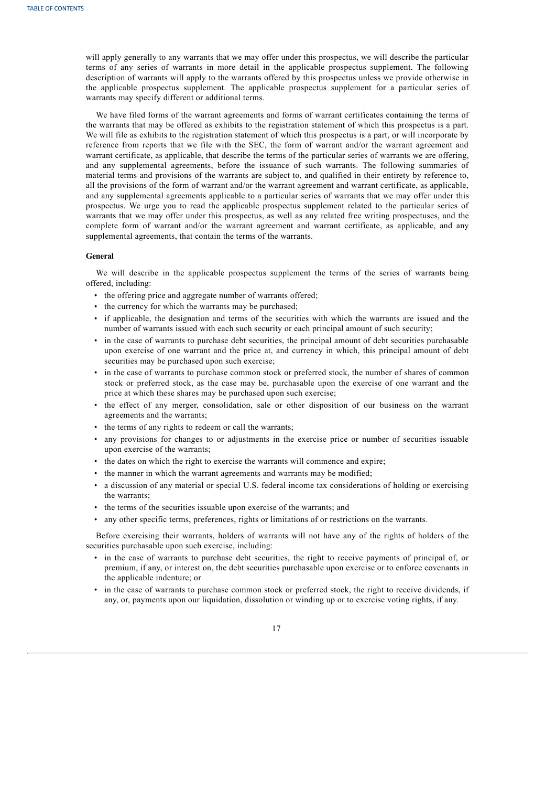will apply generally to any warrants that we may offer under this prospectus, we will describe the particular terms of any series of warrants in more detail in the applicable prospectus supplement. The following description of warrants will apply to the warrants offered by this prospectus unless we provide otherwise in the applicable prospectus supplement. The applicable prospectus supplement for a particular series of warrants may specify different or additional terms.

We have filed forms of the warrant agreements and forms of warrant certificates containing the terms of the warrants that may be offered as exhibits to the registration statement of which this prospectus is a part. We will file as exhibits to the registration statement of which this prospectus is a part, or will incorporate by reference from reports that we file with the SEC, the form of warrant and/or the warrant agreement and warrant certificate, as applicable, that describe the terms of the particular series of warrants we are offering, and any supplemental agreements, before the issuance of such warrants. The following summaries of material terms and provisions of the warrants are subject to, and qualified in their entirety by reference to, all the provisions of the form of warrant and/or the warrant agreement and warrant certificate, as applicable, and any supplemental agreements applicable to a particular series of warrants that we may offer under this prospectus. We urge you to read the applicable prospectus supplement related to the particular series of warrants that we may offer under this prospectus, as well as any related free writing prospectuses, and the complete form of warrant and/or the warrant agreement and warrant certificate, as applicable, and any supplemental agreements, that contain the terms of the warrants.

### **General**

We will describe in the applicable prospectus supplement the terms of the series of warrants being offered, including:

- the offering price and aggregate number of warrants offered;
- the currency for which the warrants may be purchased;
- if applicable, the designation and terms of the securities with which the warrants are issued and the number of warrants issued with each such security or each principal amount of such security;
- in the case of warrants to purchase debt securities, the principal amount of debt securities purchasable upon exercise of one warrant and the price at, and currency in which, this principal amount of debt securities may be purchased upon such exercise;
- in the case of warrants to purchase common stock or preferred stock, the number of shares of common stock or preferred stock, as the case may be, purchasable upon the exercise of one warrant and the price at which these shares may be purchased upon such exercise;
- the effect of any merger, consolidation, sale or other disposition of our business on the warrant agreements and the warrants;
- the terms of any rights to redeem or call the warrants;
- any provisions for changes to or adjustments in the exercise price or number of securities issuable upon exercise of the warrants;
- the dates on which the right to exercise the warrants will commence and expire;
- the manner in which the warrant agreements and warrants may be modified;
- a discussion of any material or special U.S. federal income tax considerations of holding or exercising the warrants;
- the terms of the securities issuable upon exercise of the warrants; and
- any other specific terms, preferences, rights or limitations of or restrictions on the warrants.

Before exercising their warrants, holders of warrants will not have any of the rights of holders of the securities purchasable upon such exercise, including:

- in the case of warrants to purchase debt securities, the right to receive payments of principal of, or premium, if any, or interest on, the debt securities purchasable upon exercise or to enforce covenants in the applicable indenture; or
- <span id="page-19-0"></span>• in the case of warrants to purchase common stock or preferred stock, the right to receive dividends, if any, or, payments upon our liquidation, dissolution or winding up or to exercise voting rights, if any.

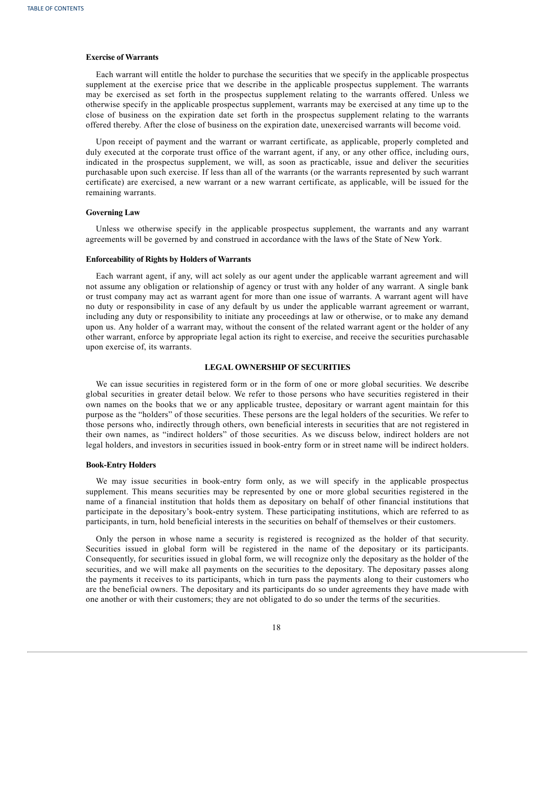# **Exercise of Warrants**

Each warrant will entitle the holder to purchase the securities that we specify in the applicable prospectus supplement at the exercise price that we describe in the applicable prospectus supplement. The warrants may be exercised as set forth in the prospectus supplement relating to the warrants offered. Unless we otherwise specify in the applicable prospectus supplement, warrants may be exercised at any time up to the close of business on the expiration date set forth in the prospectus supplement relating to the warrants offered thereby. After the close of business on the expiration date, unexercised warrants will become void.

Upon receipt of payment and the warrant or warrant certificate, as applicable, properly completed and duly executed at the corporate trust office of the warrant agent, if any, or any other office, including ours, indicated in the prospectus supplement, we will, as soon as practicable, issue and deliver the securities purchasable upon such exercise. If less than all of the warrants (or the warrants represented by such warrant certificate) are exercised, a new warrant or a new warrant certificate, as applicable, will be issued for the remaining warrants.

# **Governing Law**

Unless we otherwise specify in the applicable prospectus supplement, the warrants and any warrant agreements will be governed by and construed in accordance with the laws of the State of New York.

# **Enforceability of Rights by Holders of Warrants**

Each warrant agent, if any, will act solely as our agent under the applicable warrant agreement and will not assume any obligation or relationship of agency or trust with any holder of any warrant. A single bank or trust company may act as warrant agent for more than one issue of warrants. A warrant agent will have no duty or responsibility in case of any default by us under the applicable warrant agreement or warrant, including any duty or responsibility to initiate any proceedings at law or otherwise, or to make any demand upon us. Any holder of a warrant may, without the consent of the related warrant agent or the holder of any other warrant, enforce by appropriate legal action its right to exercise, and receive the securities purchasable upon exercise of, its warrants.

# **LEGAL OWNERSHIP OF SECURITIES**

We can issue securities in registered form or in the form of one or more global securities. We describe global securities in greater detail below. We refer to those persons who have securities registered in their own names on the books that we or any applicable trustee, depositary or warrant agent maintain for this purpose as the "holders" of those securities. These persons are the legal holders of the securities. We refer to those persons who, indirectly through others, own beneficial interests in securities that are not registered in their own names, as "indirect holders" of those securities. As we discuss below, indirect holders are not legal holders, and investors in securities issued in book-entry form or in street name will be indirect holders.

# **Book-Entry Holders**

We may issue securities in book-entry form only, as we will specify in the applicable prospectus supplement. This means securities may be represented by one or more global securities registered in the name of a financial institution that holds them as depositary on behalf of other financial institutions that participate in the depositary's book-entry system. These participating institutions, which are referred to as participants, in turn, hold beneficial interests in the securities on behalf of themselves or their customers.

Only the person in whose name a security is registered is recognized as the holder of that security. Securities issued in global form will be registered in the name of the depositary or its participants. Consequently, for securities issued in global form, we will recognize only the depositary as the holder of the securities, and we will make all payments on the securities to the depositary. The depositary passes along the payments it receives to its participants, which in turn pass the payments along to their customers who are the beneficial owners. The depositary and its participants do so under agreements they have made with one another or with their customers; they are not obligated to do so under the terms of the securities.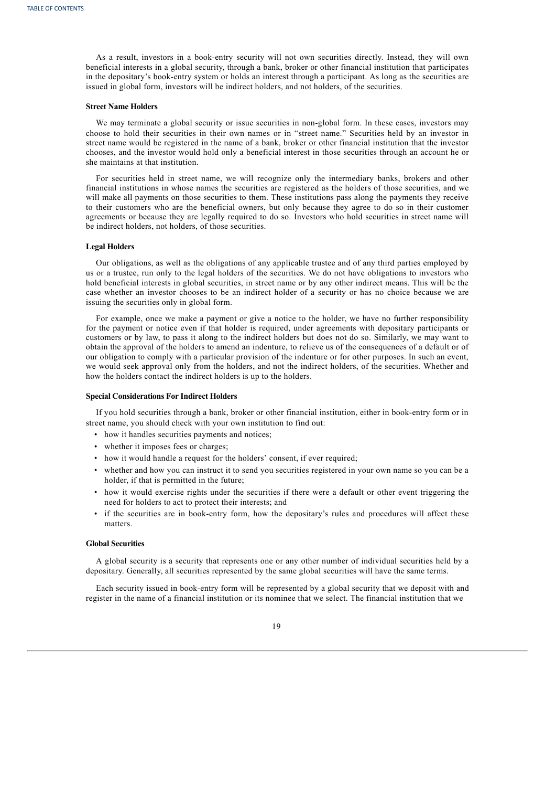As a result, investors in a book-entry security will not own securities directly. Instead, they will own beneficial interests in a global security, through a bank, broker or other financial institution that participates in the depositary's book-entry system or holds an interest through a participant. As long as the securities are issued in global form, investors will be indirect holders, and not holders, of the securities.

### **Street Name Holders**

We may terminate a global security or issue securities in non-global form. In these cases, investors may choose to hold their securities in their own names or in "street name." Securities held by an investor in street name would be registered in the name of a bank, broker or other financial institution that the investor chooses, and the investor would hold only a beneficial interest in those securities through an account he or she maintains at that institution.

For securities held in street name, we will recognize only the intermediary banks, brokers and other financial institutions in whose names the securities are registered as the holders of those securities, and we will make all payments on those securities to them. These institutions pass along the payments they receive to their customers who are the beneficial owners, but only because they agree to do so in their customer agreements or because they are legally required to do so. Investors who hold securities in street name will be indirect holders, not holders, of those securities.

### **Legal Holders**

Our obligations, as well as the obligations of any applicable trustee and of any third parties employed by us or a trustee, run only to the legal holders of the securities. We do not have obligations to investors who hold beneficial interests in global securities, in street name or by any other indirect means. This will be the case whether an investor chooses to be an indirect holder of a security or has no choice because we are issuing the securities only in global form.

For example, once we make a payment or give a notice to the holder, we have no further responsibility for the payment or notice even if that holder is required, under agreements with depositary participants or customers or by law, to pass it along to the indirect holders but does not do so. Similarly, we may want to obtain the approval of the holders to amend an indenture, to relieve us of the consequences of a default or of our obligation to comply with a particular provision of the indenture or for other purposes. In such an event, we would seek approval only from the holders, and not the indirect holders, of the securities. Whether and how the holders contact the indirect holders is up to the holders.

# **Special Considerations For Indirect Holders**

If you hold securities through a bank, broker or other financial institution, either in book-entry form or in street name, you should check with your own institution to find out:

- how it handles securities payments and notices;
- whether it imposes fees or charges;
- how it would handle a request for the holders' consent, if ever required;
- whether and how you can instruct it to send you securities registered in your own name so you can be a holder, if that is permitted in the future;
- how it would exercise rights under the securities if there were a default or other event triggering the need for holders to act to protect their interests; and
- if the securities are in book-entry form, how the depositary's rules and procedures will affect these matters.

### **Global Securities**

A global security is a security that represents one or any other number of individual securities held by a depositary. Generally, all securities represented by the same global securities will have the same terms.

Each security issued in book-entry form will be represented by a global security that we deposit with and register in the name of a financial institution or its nominee that we select. The financial institution that we

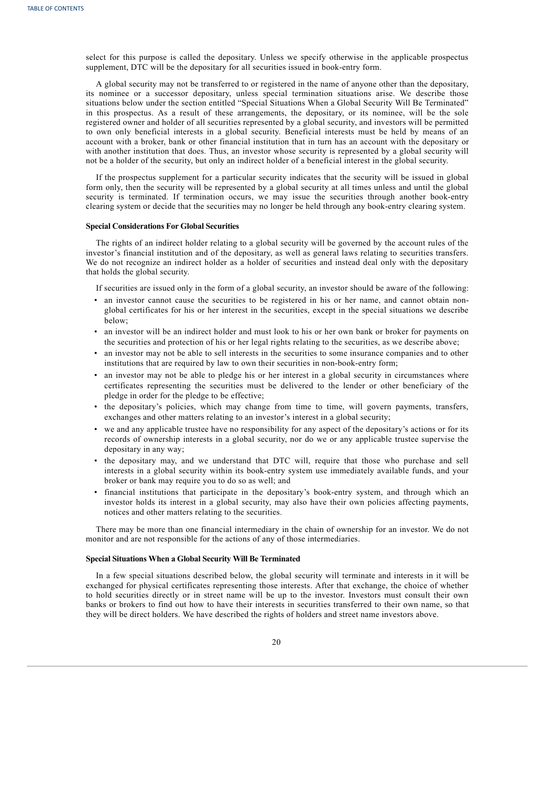select for this purpose is called the depositary. Unless we specify otherwise in the applicable prospectus supplement, DTC will be the depositary for all securities issued in book-entry form.

A global security may not be transferred to or registered in the name of anyone other than the depositary, its nominee or a successor depositary, unless special termination situations arise. We describe those situations below under the section entitled "Special Situations When a Global Security Will Be Terminated" in this prospectus. As a result of these arrangements, the depositary, or its nominee, will be the sole registered owner and holder of all securities represented by a global security, and investors will be permitted to own only beneficial interests in a global security. Beneficial interests must be held by means of an account with a broker, bank or other financial institution that in turn has an account with the depositary or with another institution that does. Thus, an investor whose security is represented by a global security will not be a holder of the security, but only an indirect holder of a beneficial interest in the global security.

If the prospectus supplement for a particular security indicates that the security will be issued in global form only, then the security will be represented by a global security at all times unless and until the global security is terminated. If termination occurs, we may issue the securities through another book-entry clearing system or decide that the securities may no longer be held through any book-entry clearing system.

# **Special Considerations For Global Securities**

The rights of an indirect holder relating to a global security will be governed by the account rules of the investor's financial institution and of the depositary, as well as general laws relating to securities transfers. We do not recognize an indirect holder as a holder of securities and instead deal only with the depositary that holds the global security.

If securities are issued only in the form of a global security, an investor should be aware of the following:

- an investor cannot cause the securities to be registered in his or her name, and cannot obtain nonglobal certificates for his or her interest in the securities, except in the special situations we describe below;
- an investor will be an indirect holder and must look to his or her own bank or broker for payments on the securities and protection of his or her legal rights relating to the securities, as we describe above;
- an investor may not be able to sell interests in the securities to some insurance companies and to other institutions that are required by law to own their securities in non-book-entry form;
- an investor may not be able to pledge his or her interest in a global security in circumstances where certificates representing the securities must be delivered to the lender or other beneficiary of the pledge in order for the pledge to be effective;
- the depositary's policies, which may change from time to time, will govern payments, transfers, exchanges and other matters relating to an investor's interest in a global security;
- we and any applicable trustee have no responsibility for any aspect of the depositary's actions or for its records of ownership interests in a global security, nor do we or any applicable trustee supervise the depositary in any way;
- the depositary may, and we understand that DTC will, require that those who purchase and sell interests in a global security within its book-entry system use immediately available funds, and your broker or bank may require you to do so as well; and
- financial institutions that participate in the depositary's book-entry system, and through which an investor holds its interest in a global security, may also have their own policies affecting payments, notices and other matters relating to the securities.

There may be more than one financial intermediary in the chain of ownership for an investor. We do not monitor and are not responsible for the actions of any of those intermediaries.

# **Special Situations When a Global Security Will Be Terminated**

<span id="page-22-0"></span>In a few special situations described below, the global security will terminate and interests in it will be exchanged for physical certificates representing those interests. After that exchange, the choice of whether to hold securities directly or in street name will be up to the investor. Investors must consult their own banks or brokers to find out how to have their interests in securities transferred to their own name, so that they will be direct holders. We have described the rights of holders and street name investors above.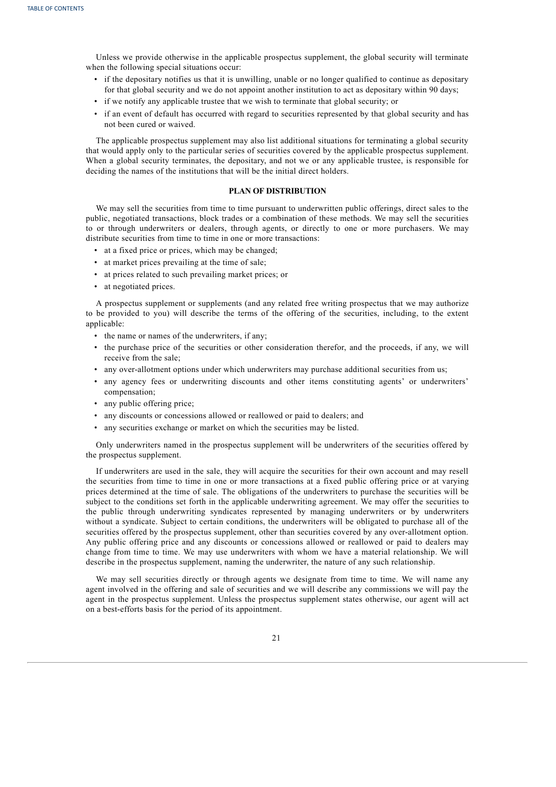Unless we provide otherwise in the applicable prospectus supplement, the global security will terminate when the following special situations occur:

- if the depositary notifies us that it is unwilling, unable or no longer qualified to continue as depositary for that global security and we do not appoint another institution to act as depositary within 90 days;
- if we notify any applicable trustee that we wish to terminate that global security; or
- if an event of default has occurred with regard to securities represented by that global security and has not been cured or waived.

The applicable prospectus supplement may also list additional situations for terminating a global security that would apply only to the particular series of securities covered by the applicable prospectus supplement. When a global security terminates, the depositary, and not we or any applicable trustee, is responsible for deciding the names of the institutions that will be the initial direct holders.

# **PLAN OF DISTRIBUTION**

We may sell the securities from time to time pursuant to underwritten public offerings, direct sales to the public, negotiated transactions, block trades or a combination of these methods. We may sell the securities to or through underwriters or dealers, through agents, or directly to one or more purchasers. We may distribute securities from time to time in one or more transactions:

- at a fixed price or prices, which may be changed;
- at market prices prevailing at the time of sale;
- at prices related to such prevailing market prices; or
- at negotiated prices.

A prospectus supplement or supplements (and any related free writing prospectus that we may authorize to be provided to you) will describe the terms of the offering of the securities, including, to the extent applicable:

- the name or names of the underwriters, if any;
- the purchase price of the securities or other consideration therefor, and the proceeds, if any, we will receive from the sale;
- any over-allotment options under which underwriters may purchase additional securities from us;
- any agency fees or underwriting discounts and other items constituting agents' or underwriters' compensation;
- any public offering price;
- any discounts or concessions allowed or reallowed or paid to dealers; and
- any securities exchange or market on which the securities may be listed.

Only underwriters named in the prospectus supplement will be underwriters of the securities offered by the prospectus supplement.

If underwriters are used in the sale, they will acquire the securities for their own account and may resell the securities from time to time in one or more transactions at a fixed public offering price or at varying prices determined at the time of sale. The obligations of the underwriters to purchase the securities will be subject to the conditions set forth in the applicable underwriting agreement. We may offer the securities to the public through underwriting syndicates represented by managing underwriters or by underwriters without a syndicate. Subject to certain conditions, the underwriters will be obligated to purchase all of the securities offered by the prospectus supplement, other than securities covered by any over-allotment option. Any public offering price and any discounts or concessions allowed or reallowed or paid to dealers may change from time to time. We may use underwriters with whom we have a material relationship. We will describe in the prospectus supplement, naming the underwriter, the nature of any such relationship.

<span id="page-23-0"></span>We may sell securities directly or through agents we designate from time to time. We will name any agent involved in the offering and sale of securities and we will describe any commissions we will pay the agent in the prospectus supplement. Unless the prospectus supplement states otherwise, our agent will act on a best-efforts basis for the period of its appointment.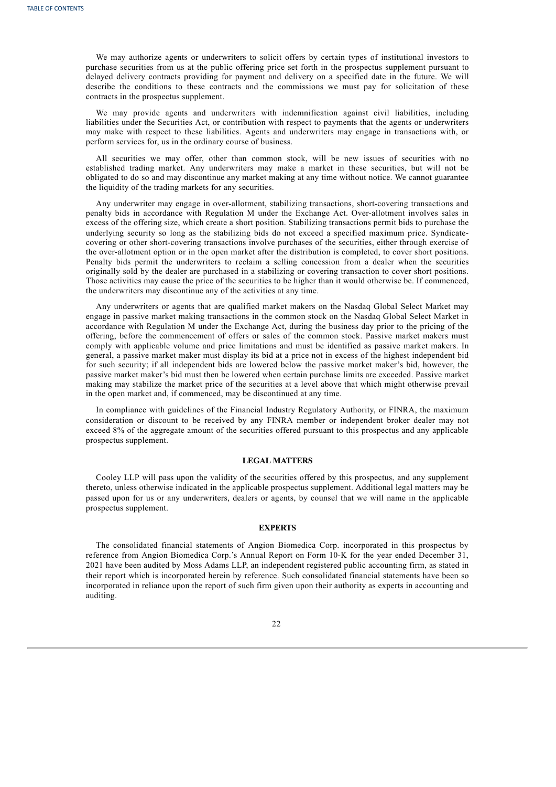We may authorize agents or underwriters to solicit offers by certain types of institutional investors to purchase securities from us at the public offering price set forth in the prospectus supplement pursuant to delayed delivery contracts providing for payment and delivery on a specified date in the future. We will describe the conditions to these contracts and the commissions we must pay for solicitation of these contracts in the prospectus supplement.

We may provide agents and underwriters with indemnification against civil liabilities, including liabilities under the Securities Act, or contribution with respect to payments that the agents or underwriters may make with respect to these liabilities. Agents and underwriters may engage in transactions with, or perform services for, us in the ordinary course of business.

All securities we may offer, other than common stock, will be new issues of securities with no established trading market. Any underwriters may make a market in these securities, but will not be obligated to do so and may discontinue any market making at any time without notice. We cannot guarantee the liquidity of the trading markets for any securities.

Any underwriter may engage in over-allotment, stabilizing transactions, short-covering transactions and penalty bids in accordance with Regulation M under the Exchange Act. Over-allotment involves sales in excess of the offering size, which create a short position. Stabilizing transactions permit bids to purchase the underlying security so long as the stabilizing bids do not exceed a specified maximum price. Syndicatecovering or other short-covering transactions involve purchases of the securities, either through exercise of the over-allotment option or in the open market after the distribution is completed, to cover short positions. Penalty bids permit the underwriters to reclaim a selling concession from a dealer when the securities originally sold by the dealer are purchased in a stabilizing or covering transaction to cover short positions. Those activities may cause the price of the securities to be higher than it would otherwise be. If commenced, the underwriters may discontinue any of the activities at any time.

Any underwriters or agents that are qualified market makers on the Nasdaq Global Select Market may engage in passive market making transactions in the common stock on the Nasdaq Global Select Market in accordance with Regulation M under the Exchange Act, during the business day prior to the pricing of the offering, before the commencement of offers or sales of the common stock. Passive market makers must comply with applicable volume and price limitations and must be identified as passive market makers. In general, a passive market maker must display its bid at a price not in excess of the highest independent bid for such security; if all independent bids are lowered below the passive market maker's bid, however, the passive market maker's bid must then be lowered when certain purchase limits are exceeded. Passive market making may stabilize the market price of the securities at a level above that which might otherwise prevail in the open market and, if commenced, may be discontinued at any time.

In compliance with guidelines of the Financial Industry Regulatory Authority, or FINRA, the maximum consideration or discount to be received by any FINRA member or independent broker dealer may not exceed 8% of the aggregate amount of the securities offered pursuant to this prospectus and any applicable prospectus supplement.

### **LEGAL MATTERS**

Cooley LLP will pass upon the validity of the securities offered by this prospectus, and any supplement thereto, unless otherwise indicated in the applicable prospectus supplement. Additional legal matters may be passed upon for us or any underwriters, dealers or agents, by counsel that we will name in the applicable prospectus supplement.

# **EXPERTS**

<span id="page-24-0"></span>The consolidated financial statements of Angion Biomedica Corp. incorporated in this prospectus by reference from Angion Biomedica Corp.'s Annual Report on Form 10-K for the year ended December 31, 2021 have been audited by Moss Adams LLP, an independent registered public accounting firm, as stated in their report which is incorporated herein by reference. Such consolidated financial statements have been so incorporated in reliance upon the report of such firm given upon their authority as experts in accounting and auditing.

22